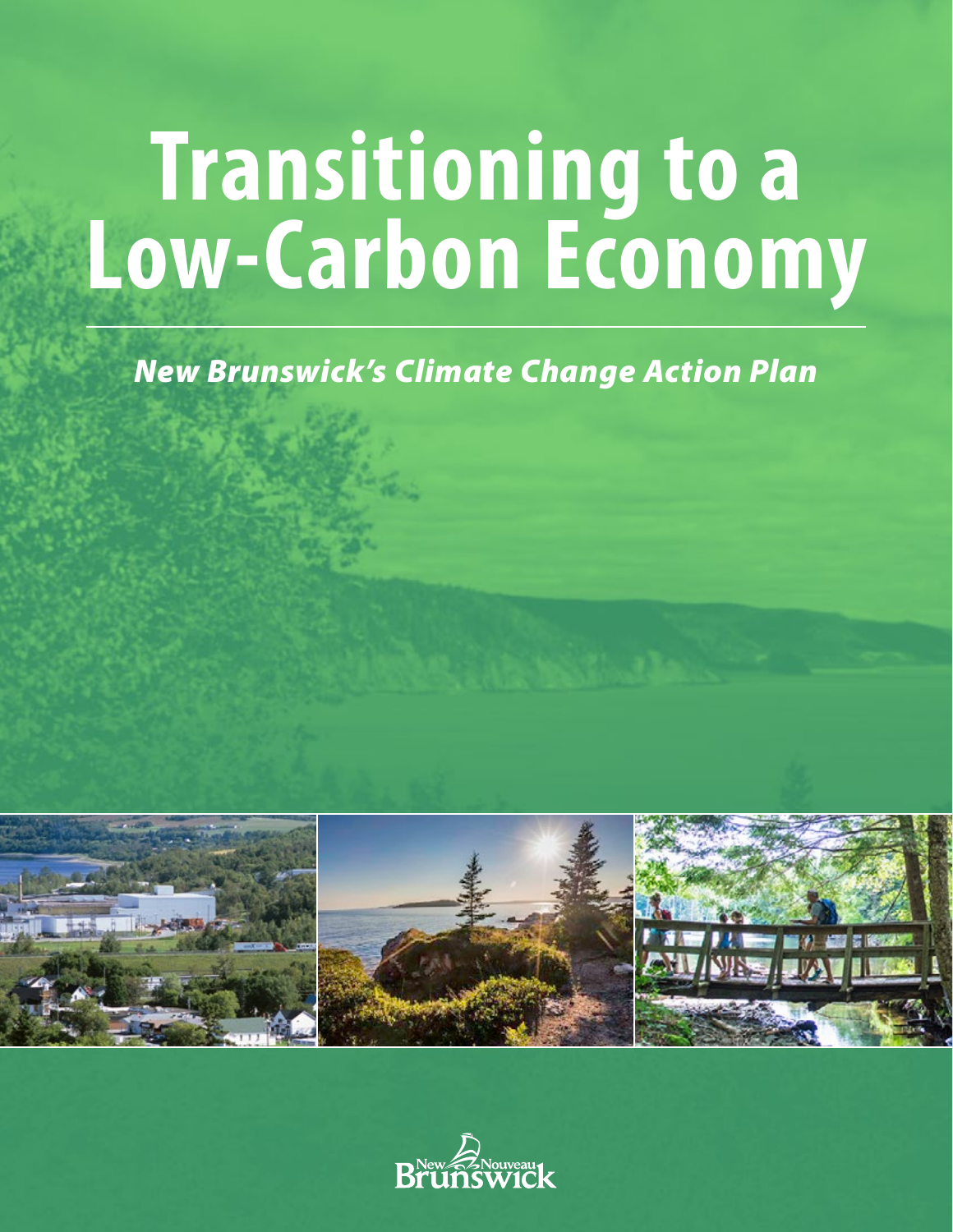# **Transitioning to a Low-Carbon Economy**

# *New Brunswick's Climate Change Action Plan*



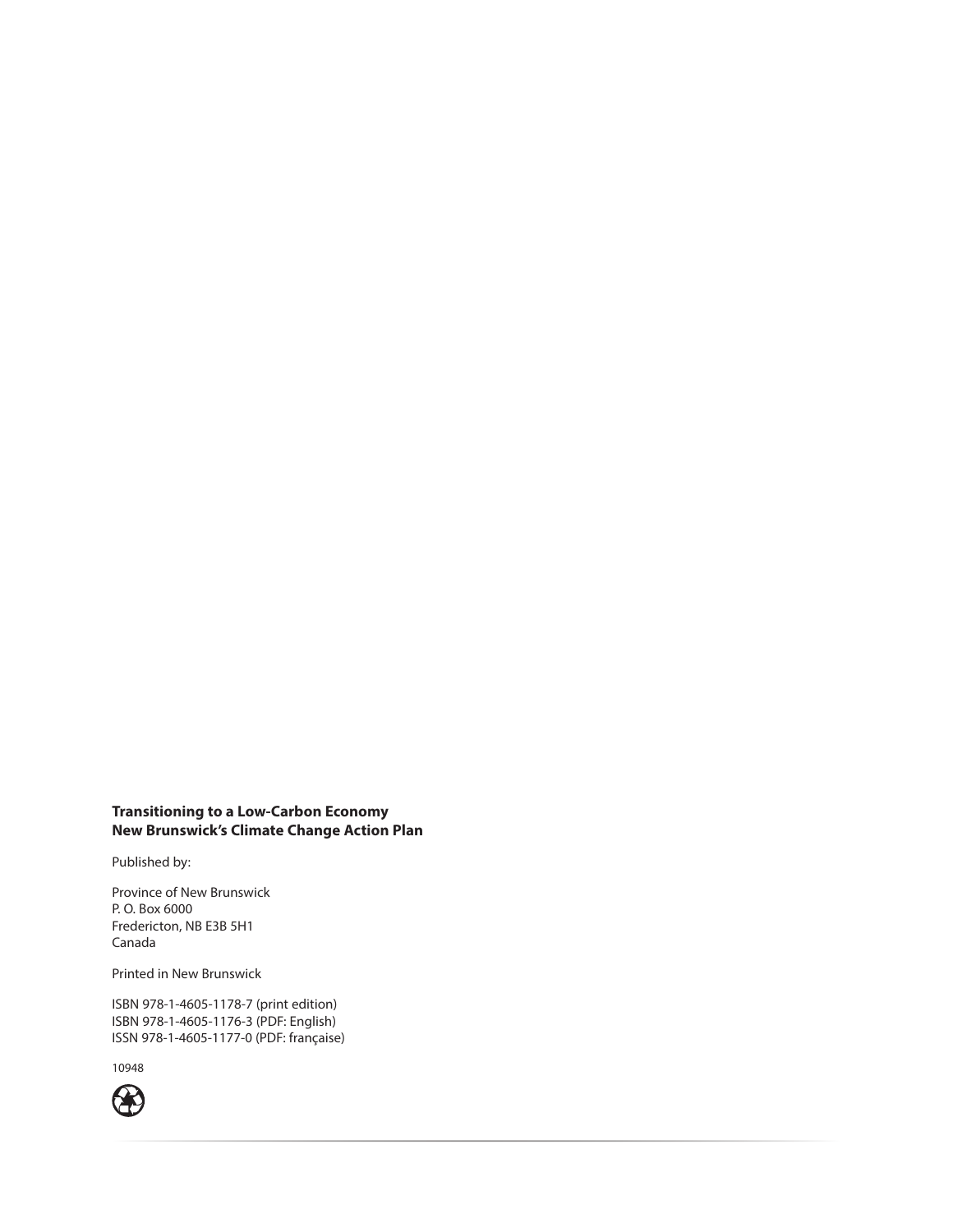#### **Transitioning to a Low-Carbon Economy New Brunswick's Climate Change Action Plan**

Published by:

Province of New Brunswick P. O. Box 6000 Fredericton, NB E3B 5H1 Canada

Printed in New Brunswick

ISBN 978-1-4605-1178-7 (print edition) ISBN 978-1-4605-1176-3 (PDF: English) ISSN 978-1-4605-1177-0 (PDF: française)

10948

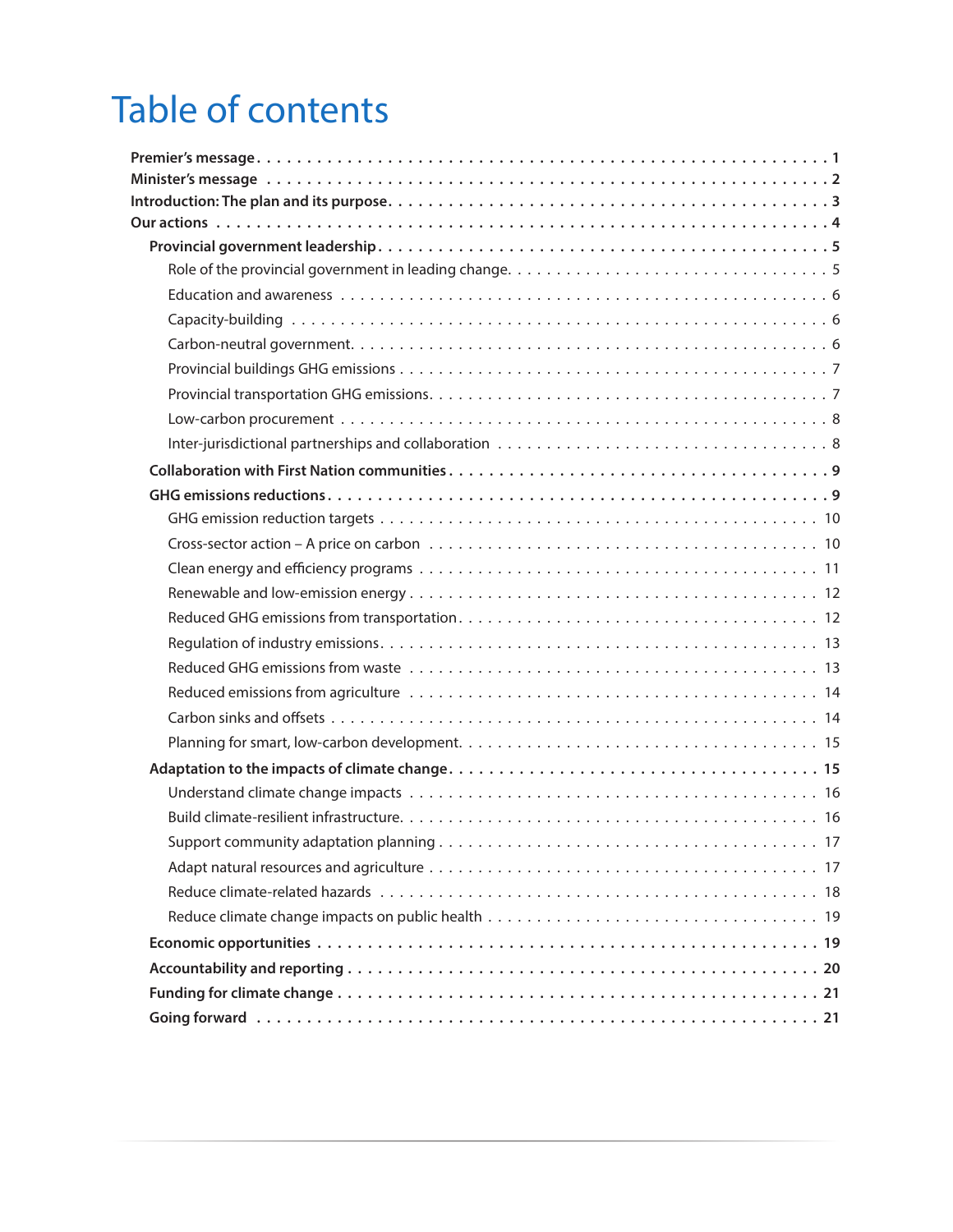# Table of contents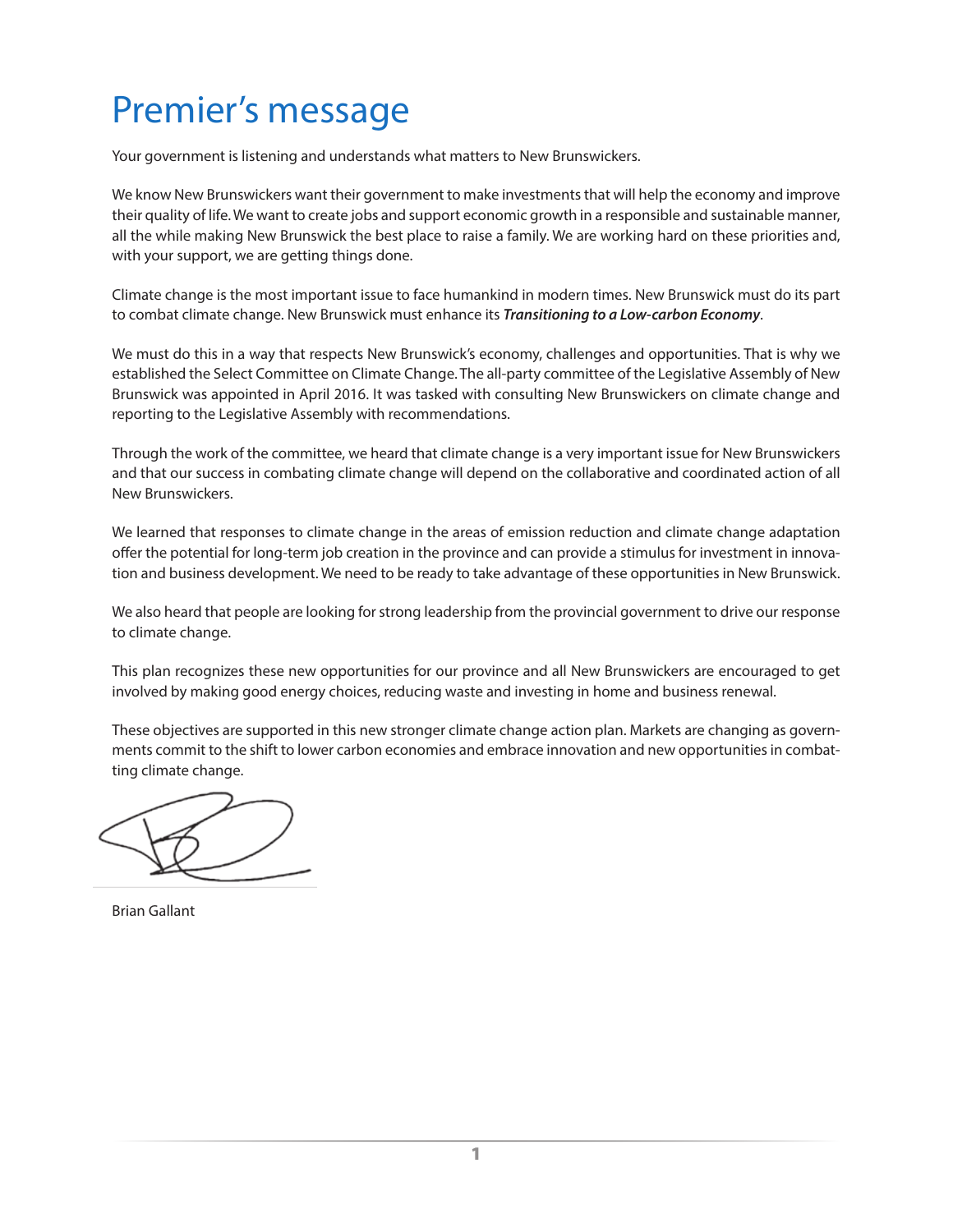# <span id="page-4-0"></span>Premier's message

Your government is listening and understands what matters to New Brunswickers.

We know New Brunswickers want their government to make investments that will help the economy and improve their quality of life. We want to create jobs and support economic growth in a responsible and sustainable manner, all the while making New Brunswick the best place to raise a family. We are working hard on these priorities and, with your support, we are getting things done.

Climate change is the most important issue to face humankind in modern times. New Brunswick must do its part to combat climate change. New Brunswick must enhance its *Transitioning to a Low-carbon Economy*.

We must do this in a way that respects New Brunswick's economy, challenges and opportunities. That is why we established the Select Committee on Climate Change. The all-party committee of the Legislative Assembly of New Brunswick was appointed in April 2016. It was tasked with consulting New Brunswickers on climate change and reporting to the Legislative Assembly with recommendations.

Through the work of the committee, we heard that climate change is a very important issue for New Brunswickers and that our success in combating climate change will depend on the collaborative and coordinated action of all New Brunswickers.

We learned that responses to climate change in the areas of emission reduction and climate change adaptation offer the potential for long-term job creation in the province and can provide a stimulus for investment in innovation and business development. We need to be ready to take advantage of these opportunities in New Brunswick.

We also heard that people are looking for strong leadership from the provincial government to drive our response to climate change.

This plan recognizes these new opportunities for our province and all New Brunswickers are encouraged to get involved by making good energy choices, reducing waste and investing in home and business renewal.

These objectives are supported in this new stronger climate change action plan. Markets are changing as governments commit to the shift to lower carbon economies and embrace innovation and new opportunities in combatting climate change.

Brian Gallant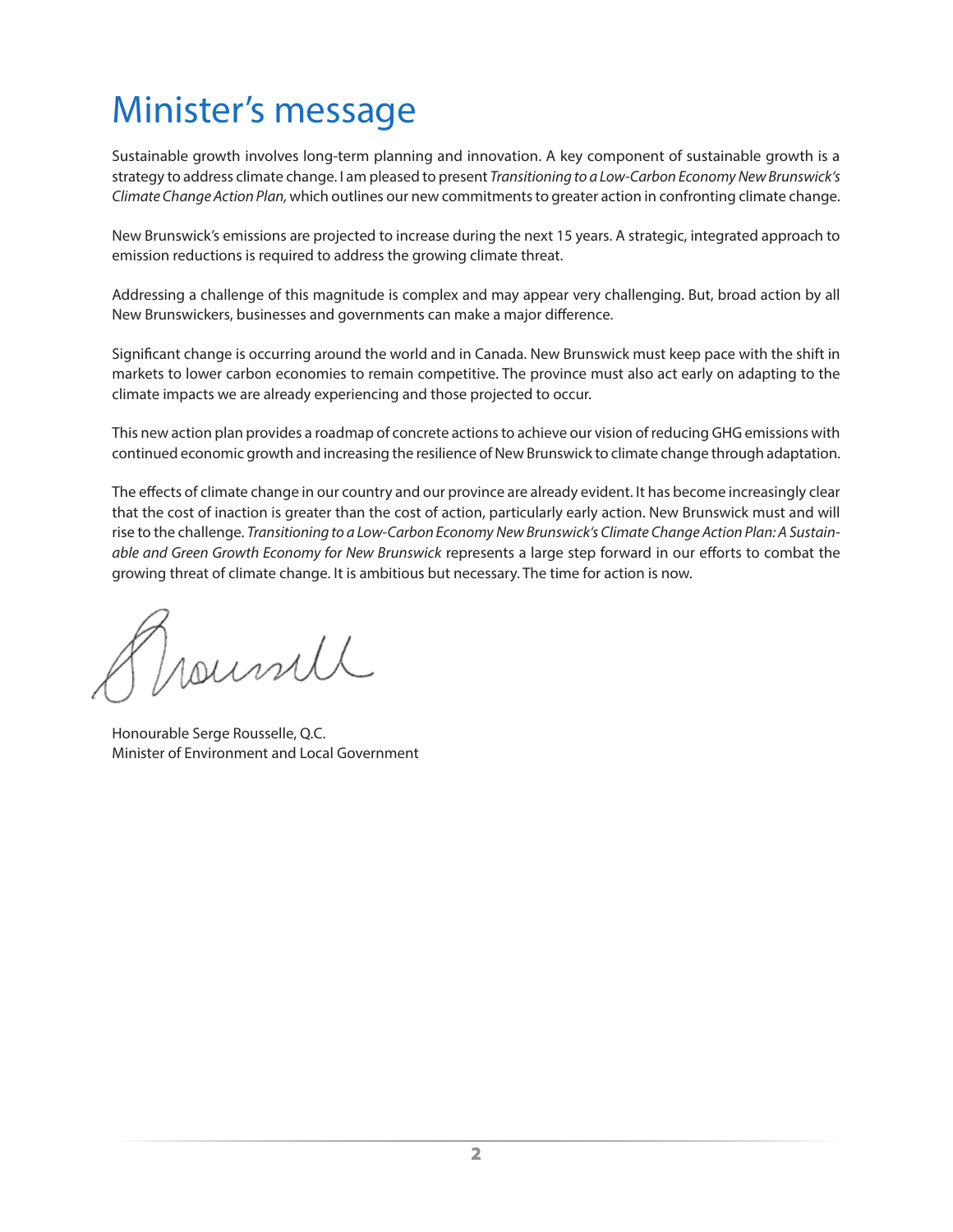# <span id="page-5-0"></span>Minister's message

Sustainable growth involves long-term planning and innovation. A key component of sustainable growth is a strategy to address climate change. I am pleased to present *Transitioning to a Low-Carbon Economy New Brunswick's Climate Change Action Plan,* which outlines our new commitments to greater action in confronting climate change.

New Brunswick's emissions are projected to increase during the next 15 years. A strategic, integrated approach to emission reductions is required to address the growing climate threat.

Addressing a challenge of this magnitude is complex and may appear very challenging. But, broad action by all New Brunswickers, businesses and governments can make a major difference.

Significant change is occurring around the world and in Canada. New Brunswick must keep pace with the shift in markets to lower carbon economies to remain competitive. The province must also act early on adapting to the climate impacts we are already experiencing and those projected to occur.

This new action plan provides a roadmap of concrete actions to achieve our vision of reducing GHG emissions with continued economic growth and increasing the resilience of New Brunswick to climate change through adaptation.

The effects of climate change in our country and our province are already evident. It has become increasingly clear that the cost of inaction is greater than the cost of action, particularly early action. New Brunswick must and will rise to the challenge. *Transitioning to a Low-Carbon Economy New Brunswick's Climate Change Action Plan: A Sustainable and Green Growth Economy for New Brunswick* represents a large step forward in our efforts to combat the growing threat of climate change. It is ambitious but necessary. The time for action is now.

Journall

Honourable Serge Rousselle, Q.C. Minister of Environment and Local Government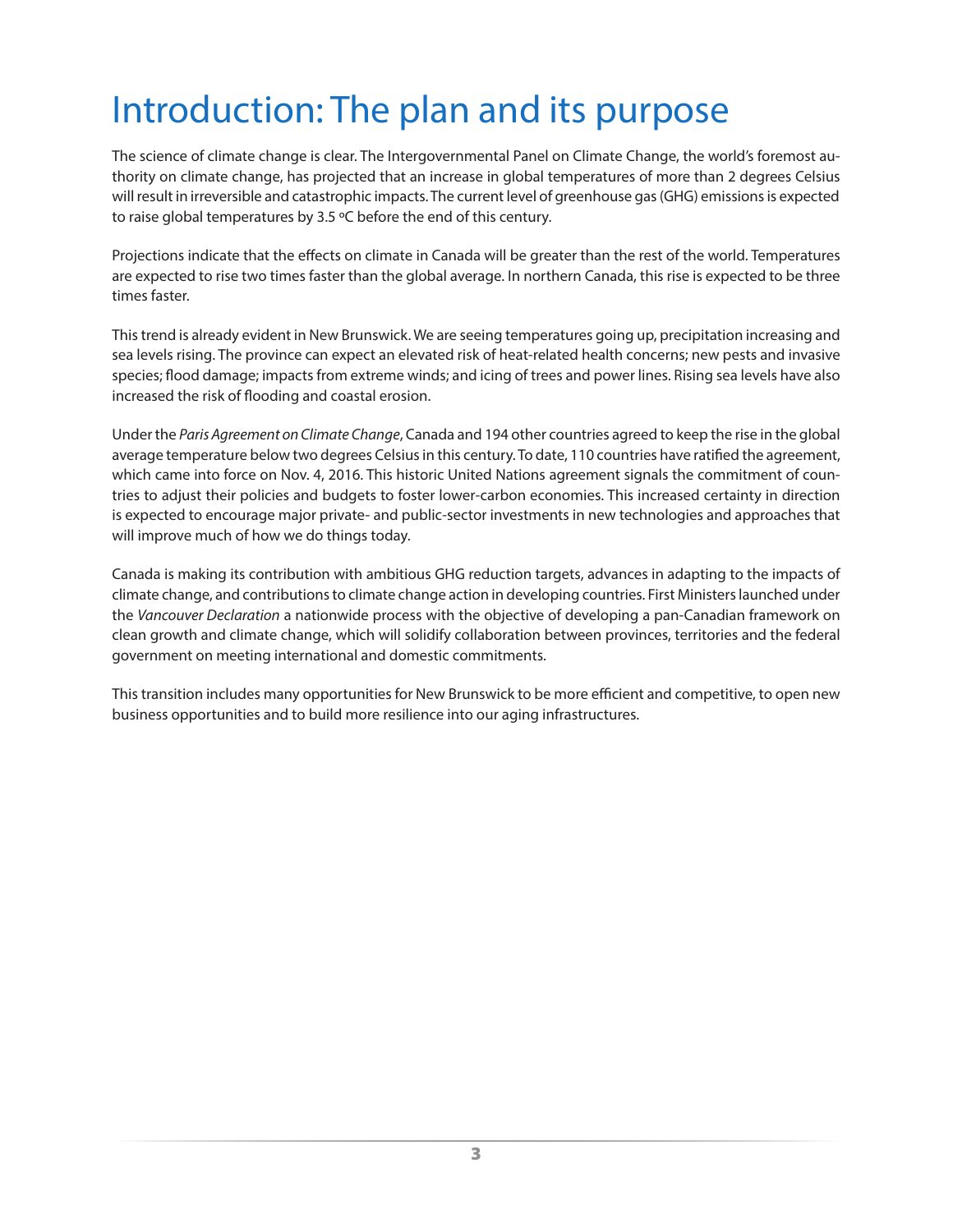# <span id="page-6-0"></span>Introduction: The plan and its purpose

The science of climate change is clear. The Intergovernmental Panel on Climate Change, the world's foremost authority on climate change, has projected that an increase in global temperatures of more than 2 degrees Celsius will result in irreversible and catastrophic impacts. The current level of greenhouse gas (GHG) emissions is expected to raise global temperatures by 3.5 ºC before the end of this century.

Projections indicate that the effects on climate in Canada will be greater than the rest of the world. Temperatures are expected to rise two times faster than the global average. In northern Canada, this rise is expected to be three times faster.

This trend is already evident in New Brunswick. We are seeing temperatures going up, precipitation increasing and sea levels rising. The province can expect an elevated risk of heat-related health concerns; new pests and invasive species; flood damage; impacts from extreme winds; and icing of trees and power lines. Rising sea levels have also increased the risk of flooding and coastal erosion.

Under the *Paris Agreement on Climate Change*, Canada and 194 other countries agreed to keep the rise in the global average temperature below two degrees Celsius in this century. To date, 110 countries have ratified the agreement, which came into force on Nov. 4, 2016. This historic United Nations agreement signals the commitment of countries to adjust their policies and budgets to foster lower-carbon economies. This increased certainty in direction is expected to encourage major private- and public-sector investments in new technologies and approaches that will improve much of how we do things today.

Canada is making its contribution with ambitious GHG reduction targets, advances in adapting to the impacts of climate change, and contributions to climate change action in developing countries. First Ministers launched under the *Vancouver Declaration* a nationwide process with the objective of developing a pan-Canadian framework on clean growth and climate change, which will solidify collaboration between provinces, territories and the federal government on meeting international and domestic commitments.

This transition includes many opportunities for New Brunswick to be more efficient and competitive, to open new business opportunities and to build more resilience into our aging infrastructures.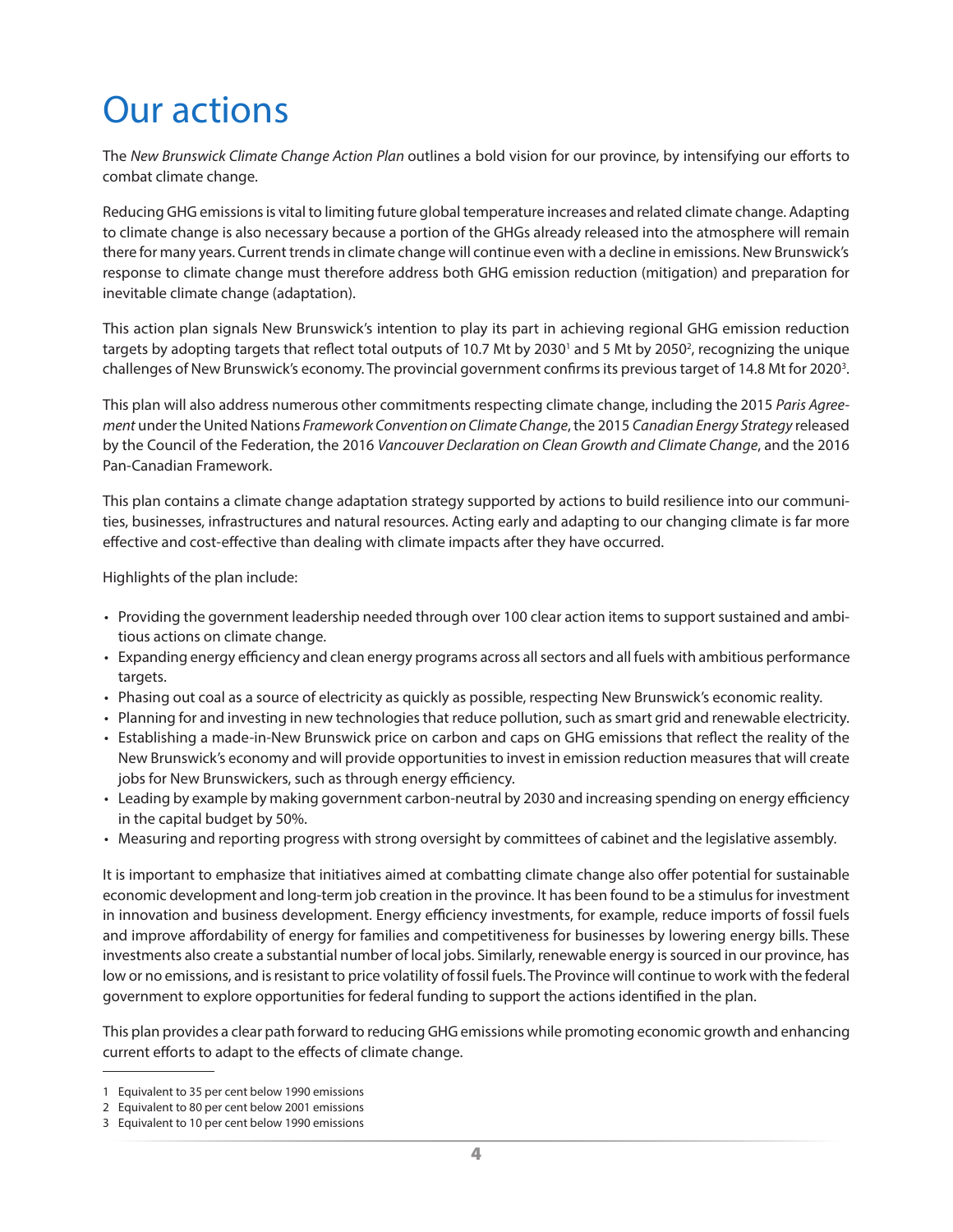# <span id="page-7-0"></span>Our actions

The *New Brunswick Climate Change Action Plan* outlines a bold vision for our province, by intensifying our efforts to combat climate change.

Reducing GHG emissions is vital to limiting future global temperature increases and related climate change. Adapting to climate change is also necessary because a portion of the GHGs already released into the atmosphere will remain there for many years. Current trends in climate change will continue even with a decline in emissions. New Brunswick's response to climate change must therefore address both GHG emission reduction (mitigation) and preparation for inevitable climate change (adaptation).

This action plan signals New Brunswick's intention to play its part in achieving regional GHG emission reduction targets by adopting targets that reflect total outputs of 10.7 Mt by 2030<sup>1</sup> and 5 Mt by 2050<sup>2</sup>, recognizing the unique challenges of New Brunswick's economy. The provincial government confirms its previous target of 14.8 Mt for 2020<sup>3</sup>.

This plan will also address numerous other commitments respecting climate change, including the 2015 *Paris Agreement* under the United Nations *Framework Convention on Climate Change*, the 2015 *Canadian Energy Strategy* released by the Council of the Federation, the 2016 *Vancouver Declaration on Clean Growth and Climate Change*, and the 2016 Pan-Canadian Framework.

This plan contains a climate change adaptation strategy supported by actions to build resilience into our communities, businesses, infrastructures and natural resources. Acting early and adapting to our changing climate is far more effective and cost-effective than dealing with climate impacts after they have occurred.

Highlights of the plan include:

- Providing the government leadership needed through over 100 clear action items to support sustained and ambitious actions on climate change.
- Expanding energy efficiency and clean energy programs across all sectors and all fuels with ambitious performance targets.
- Phasing out coal as a source of electricity as quickly as possible, respecting New Brunswick's economic reality.
- Planning for and investing in new technologies that reduce pollution, such as smart grid and renewable electricity.
- Establishing a made-in-New Brunswick price on carbon and caps on GHG emissions that reflect the reality of the New Brunswick's economy and will provide opportunities to invest in emission reduction measures that will create jobs for New Brunswickers, such as through energy efficiency.
- Leading by example by making government carbon-neutral by 2030 and increasing spending on energy efficiency in the capital budget by 50%.
- Measuring and reporting progress with strong oversight by committees of cabinet and the legislative assembly.

It is important to emphasize that initiatives aimed at combatting climate change also offer potential for sustainable economic development and long-term job creation in the province. It has been found to be a stimulus for investment in innovation and business development. Energy efficiency investments, for example, reduce imports of fossil fuels and improve affordability of energy for families and competitiveness for businesses by lowering energy bills. These investments also create a substantial number of local jobs. Similarly, renewable energy is sourced in our province, has low or no emissions, and is resistant to price volatility of fossil fuels. The Province will continue to work with the federal government to explore opportunities for federal funding to support the actions identified in the plan.

This plan provides a clear path forward to reducing GHG emissions while promoting economic growth and enhancing current efforts to adapt to the effects of climate change.

<sup>1</sup> Equivalent to 35 per cent below 1990 emissions

<sup>2</sup> Equivalent to 80 per cent below 2001 emissions

<sup>3</sup> Equivalent to 10 per cent below 1990 emissions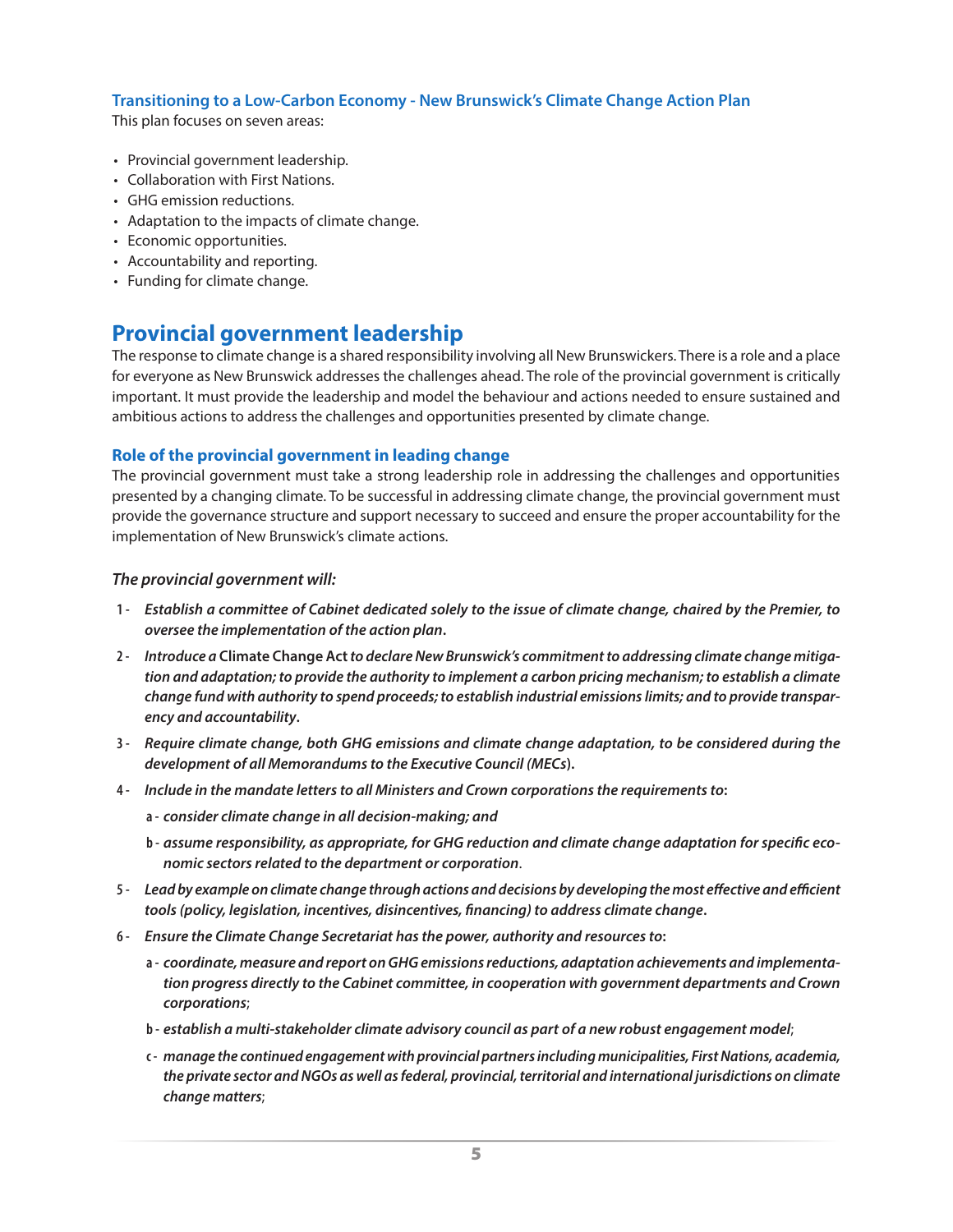#### <span id="page-8-0"></span>**Transitioning to a Low-Carbon Economy - New Brunswick's Climate Change Action Plan**

This plan focuses on seven areas:

- Provincial government leadership.
- Collaboration with First Nations.
- GHG emission reductions.
- Adaptation to the impacts of climate change.
- Economic opportunities.
- Accountability and reporting.
- Funding for climate change.

### **Provincial government leadership**

The response to climate change is a shared responsibility involving all New Brunswickers. There is a role and a place for everyone as New Brunswick addresses the challenges ahead. The role of the provincial government is critically important. It must provide the leadership and model the behaviour and actions needed to ensure sustained and ambitious actions to address the challenges and opportunities presented by climate change.

#### **Role of the provincial government in leading change**

The provincial government must take a strong leadership role in addressing the challenges and opportunities presented by a changing climate. To be successful in addressing climate change, the provincial government must provide the governance structure and support necessary to succeed and ensure the proper accountability for the implementation of New Brunswick's climate actions.

- **1 -** *Establish a committee of Cabinet dedicated solely to the issue of climate change, chaired by the Premier, to oversee the implementation of the action plan***.**
- **2 -** *Introduce a* **Climate Change Act** *to declare New Brunswick's commitment to addressing climate change mitigation and adaptation; to provide the authority to implement a carbon pricing mechanism; to establish a climate change fund with authority to spend proceeds; to establish industrial emissions limits; and to provide transparency and accountability***.**
- **3 -** *Require climate change, both GHG emissions and climate change adaptation, to be considered during the development of all Memorandums to the Executive Council (MECs***).**
- **4 -** *Include in the mandate letters to all Ministers and Crown corporations the requirements to***:**
	- **a -** *consider climate change in all decision-making; and*
	- **b -** *assume responsibility, as appropriate, for GHG reduction and climate change adaptation for specific economic sectors related to the department or corporation*.
- **5 -** *Lead by example on climate change through actions and decisions by developing the most effective and efficient tools (policy, legislation, incentives, disincentives, financing) to address climate change***.**
- **6 -** *Ensure the Climate Change Secretariat has the power, authority and resources to***:**
	- **a -** *coordinate, measure and report on GHG emissions reductions, adaptation achievements and implementation progress directly to the Cabinet committee, in cooperation with government departments and Crown corporations*;
	- **b -** *establish a multi-stakeholder climate advisory council as part of a new robust engagement model*;
	- **c -** *manage the continued engagement with provincial partners including municipalities, First Nations, academia, the private sector and NGOs as well as federal, provincial, territorial and international jurisdictions on climate change matters*;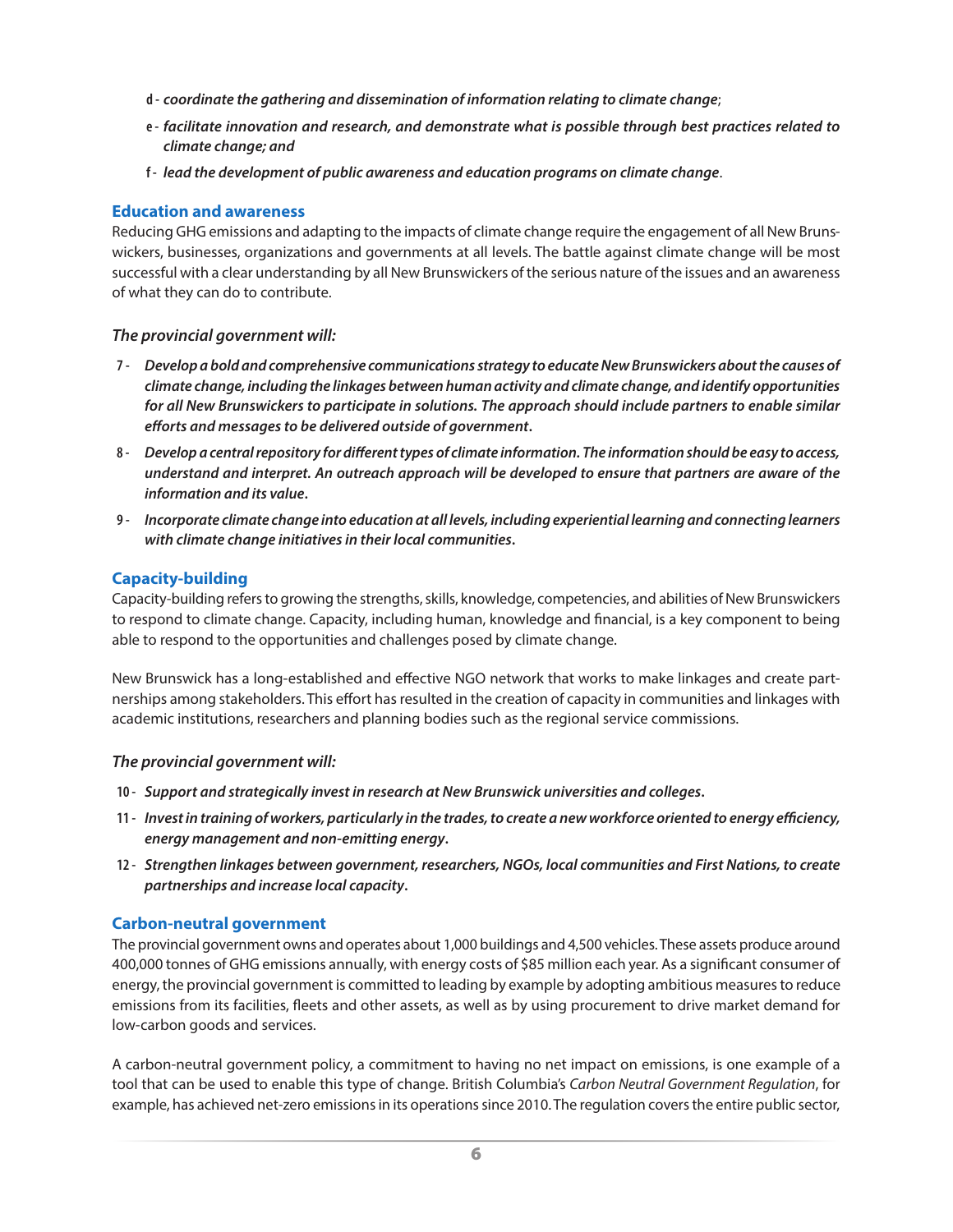- <span id="page-9-0"></span>**d -** *coordinate the gathering and dissemination of information relating to climate change*;
- **e -** *facilitate innovation and research, and demonstrate what is possible through best practices related to climate change; and*
- **f -** *lead the development of public awareness and education programs on climate change*.

#### **Education and awareness**

Reducing GHG emissions and adapting to the impacts of climate change require the engagement of all New Brunswickers, businesses, organizations and governments at all levels. The battle against climate change will be most successful with a clear understanding by all New Brunswickers of the serious nature of the issues and an awareness of what they can do to contribute.

#### *The provincial government will:*

- **7 -** *Develop a bold and comprehensive communications strategy to educate New Brunswickers about the causes of climate change, including the linkages between human activity and climate change, and identify opportunities for all New Brunswickers to participate in solutions. The approach should include partners to enable similar efforts and messages to be delivered outside of government***.**
- **8 -** *Develop a central repository for different types of climate information. The information should be easy to access, understand and interpret. An outreach approach will be developed to ensure that partners are aware of the information and its value***.**
- **9 -** *Incorporate climate change into education at all levels, including experiential learning and connecting learners with climate change initiatives in their local communities***.**

#### **Capacity-building**

Capacity-building refers to growing the strengths, skills, knowledge, competencies, and abilities of New Brunswickers to respond to climate change. Capacity, including human, knowledge and financial, is a key component to being able to respond to the opportunities and challenges posed by climate change.

New Brunswick has a long-established and effective NGO network that works to make linkages and create partnerships among stakeholders. This effort has resulted in the creation of capacity in communities and linkages with academic institutions, researchers and planning bodies such as the regional service commissions.

#### *The provincial government will:*

- **10 -** *Support and strategically invest in research at New Brunswick universities and colleges***.**
- **11 -** *Invest in training of workers, particularly in the trades, to create a new workforce oriented to energy efficiency, energy management and non-emitting energy***.**
- **12 -** *Strengthen linkages between government, researchers, NGOs, local communities and First Nations, to create partnerships and increase local capacity***.**

#### **Carbon-neutral government**

The provincial government owns and operates about 1,000 buildings and 4,500 vehicles. These assets produce around 400,000 tonnes of GHG emissions annually, with energy costs of \$85 million each year. As a significant consumer of energy, the provincial government is committed to leading by example by adopting ambitious measures to reduce emissions from its facilities, fleets and other assets, as well as by using procurement to drive market demand for low-carbon goods and services.

A carbon-neutral government policy, a commitment to having no net impact on emissions, is one example of a tool that can be used to enable this type of change. British Columbia's *Carbon Neutral Government Regulation*, for example, has achieved net-zero emissions in its operations since 2010. The regulation covers the entire public sector,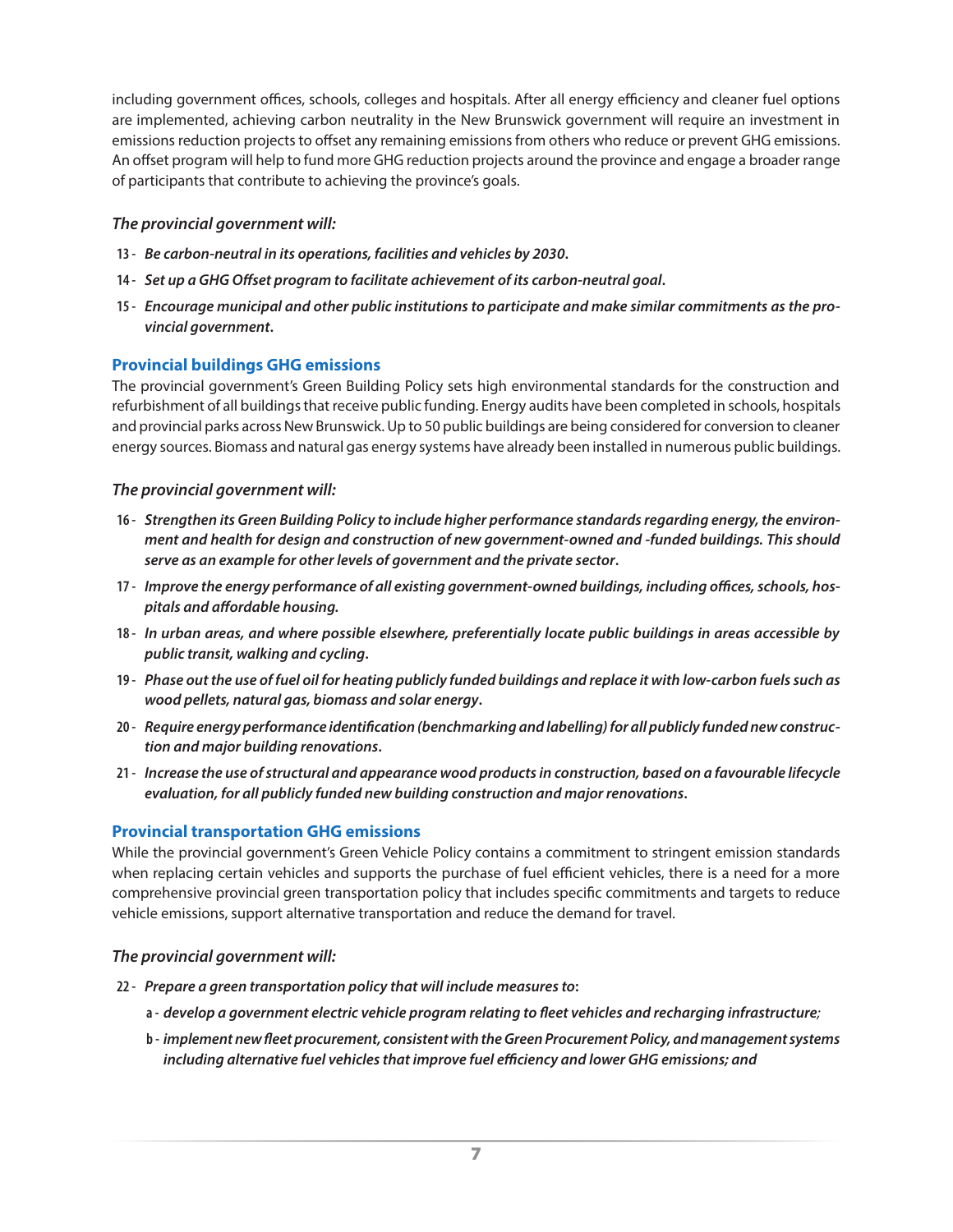<span id="page-10-0"></span>including government offices, schools, colleges and hospitals. After all energy efficiency and cleaner fuel options are implemented, achieving carbon neutrality in the New Brunswick government will require an investment in emissions reduction projects to offset any remaining emissions from others who reduce or prevent GHG emissions. An offset program will help to fund more GHG reduction projects around the province and engage a broader range of participants that contribute to achieving the province's goals.

#### *The provincial government will:*

- **13 -** *Be carbon-neutral in its operations, facilities and vehicles by 2030***.**
- **14 -** *Set up a GHG Offset program to facilitate achievement of its carbon-neutral goal***.**
- **15 -** *Encourage municipal and other public institutions to participate and make similar commitments as the provincial government***.**

#### **Provincial buildings GHG emissions**

The provincial government's Green Building Policy sets high environmental standards for the construction and refurbishment of all buildings that receive public funding. Energy audits have been completed in schools, hospitals and provincial parks across New Brunswick. Up to 50 public buildings are being considered for conversion to cleaner energy sources. Biomass and natural gas energy systems have already been installed in numerous public buildings.

#### *The provincial government will:*

- **16 -** *Strengthen its Green Building Policy to include higher performance standards regarding energy, the environment and health for design and construction of new government-owned and -funded buildings. This should serve as an example for other levels of government and the private sector***.**
- **17 -** *Improve the energy performance of all existing government-owned buildings, including offices, schools, hospitals and affordable housing.*
- **18 -** *In urban areas, and where possible elsewhere, preferentially locate public buildings in areas accessible by public transit, walking and cycling***.**
- **19 -** *Phase out the use of fuel oil for heating publicly funded buildings and replace it with low-carbon fuels such as wood pellets, natural gas, biomass and solar energy***.**
- **20 -** *Require energy performance identification (benchmarking and labelling) for all publicly funded new construction and major building renovations***.**
- **21 -** *Increase the use of structural and appearance wood products in construction, based on a favourable lifecycle evaluation, for all publicly funded new building construction and major renovations***.**

#### **Provincial transportation GHG emissions**

While the provincial government's Green Vehicle Policy contains a commitment to stringent emission standards when replacing certain vehicles and supports the purchase of fuel efficient vehicles, there is a need for a more comprehensive provincial green transportation policy that includes specific commitments and targets to reduce vehicle emissions, support alternative transportation and reduce the demand for travel.

- **22 -** *Prepare a green transportation policy that will include measures to***:**
	- **a -** *develop a government electric vehicle program relating to fleet vehicles and recharging infrastructure;*
	- **b -** *implement new fleet procurement, consistent with the Green Procurement Policy, and management systems including alternative fuel vehicles that improve fuel efficiency and lower GHG emissions; and*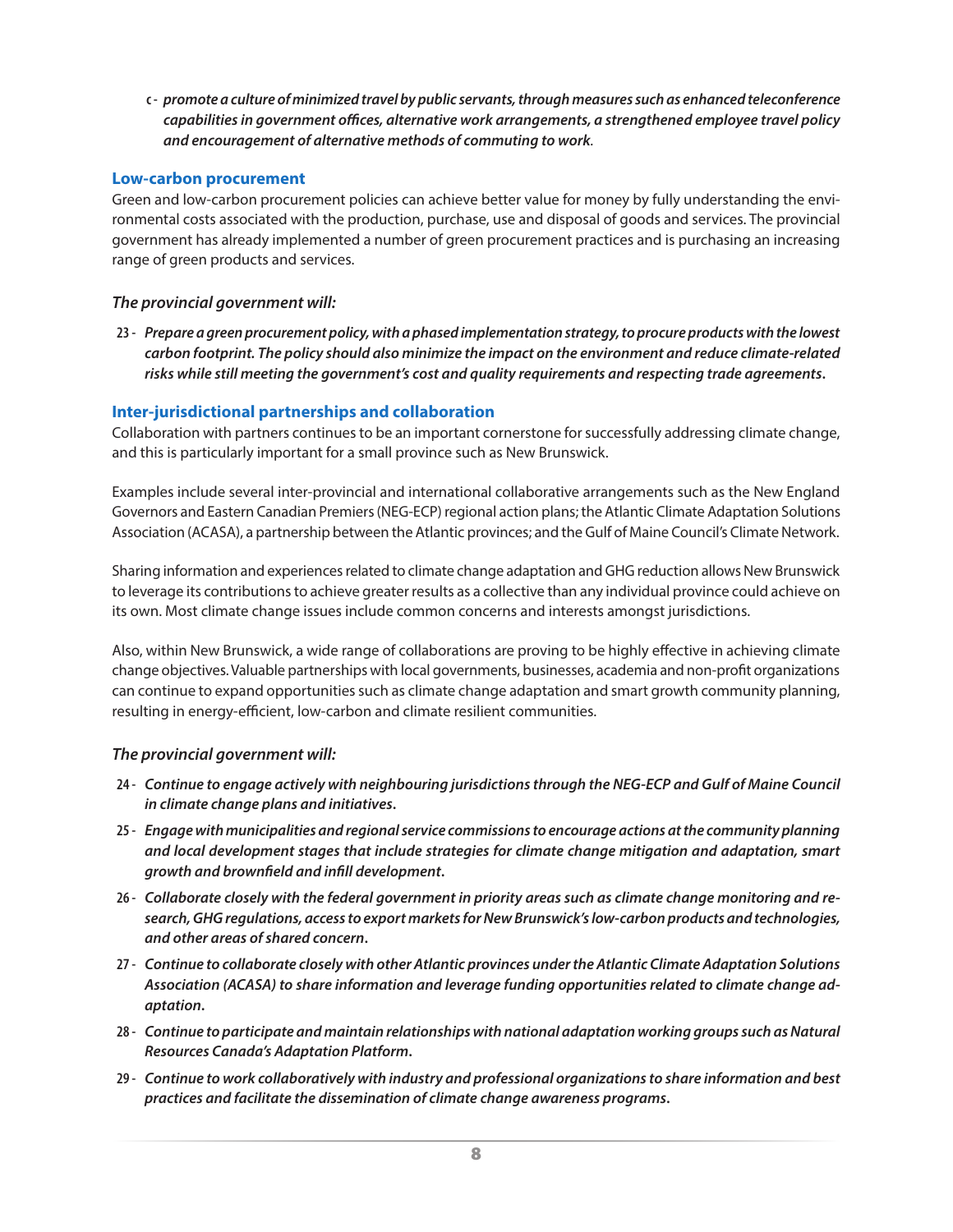<span id="page-11-0"></span>**c -** *promote a culture of minimized travel by public servants, through measures such as enhanced teleconference capabilities in government offices, alternative work arrangements, a strengthened employee travel policy and encouragement of alternative methods of commuting to work.*

#### **Low-carbon procurement**

Green and low-carbon procurement policies can achieve better value for money by fully understanding the environmental costs associated with the production, purchase, use and disposal of goods and services. The provincial government has already implemented a number of green procurement practices and is purchasing an increasing range of green products and services.

#### *The provincial government will:*

**23 -** *Prepare a green procurement policy, with a phased implementation strategy, to procure products with the lowest carbon footprint. The policy should also minimize the impact on the environment and reduce climate-related risks while still meeting the government's cost and quality requirements and respecting trade agreements***.**

#### **Inter-jurisdictional partnerships and collaboration**

Collaboration with partners continues to be an important cornerstone for successfully addressing climate change, and this is particularly important for a small province such as New Brunswick.

Examples include several inter-provincial and international collaborative arrangements such as the New England Governors and Eastern Canadian Premiers (NEG-ECP) regional action plans; the Atlantic Climate Adaptation Solutions Association (ACASA), a partnership between the Atlantic provinces; and the Gulf of Maine Council's Climate Network.

Sharing information and experiences related to climate change adaptation and GHG reduction allows New Brunswick to leverage its contributions to achieve greater results as a collective than any individual province could achieve on its own. Most climate change issues include common concerns and interests amongst jurisdictions.

Also, within New Brunswick, a wide range of collaborations are proving to be highly effective in achieving climate change objectives. Valuable partnerships with local governments, businesses, academia and non-profit organizations can continue to expand opportunities such as climate change adaptation and smart growth community planning, resulting in energy-efficient, low-carbon and climate resilient communities.

- **24 -** *Continue to engage actively with neighbouring jurisdictions through the NEG-ECP and Gulf of Maine Council in climate change plans and initiatives***.**
- **25 -** *Engage with municipalities and regional service commissions to encourage actions at the community planning and local development stages that include strategies for climate change mitigation and adaptation, smart growth and brownfield and infill development***.**
- **26 -** *Collaborate closely with the federal government in priority areas such as climate change monitoring and research, GHG regulations, access to export markets for New Brunswick's low-carbon products and technologies, and other areas of shared concern***.**
- **27 -** *Continue to collaborate closely with other Atlantic provinces under the Atlantic Climate Adaptation Solutions Association (ACASA) to share information and leverage funding opportunities related to climate change adaptation***.**
- **28 -** *Continue to participate and maintain relationships with national adaptation working groups such as Natural Resources Canada's Adaptation Platform***.**
- **29 -** *Continue to work collaboratively with industry and professional organizations to share information and best practices and facilitate the dissemination of climate change awareness programs***.**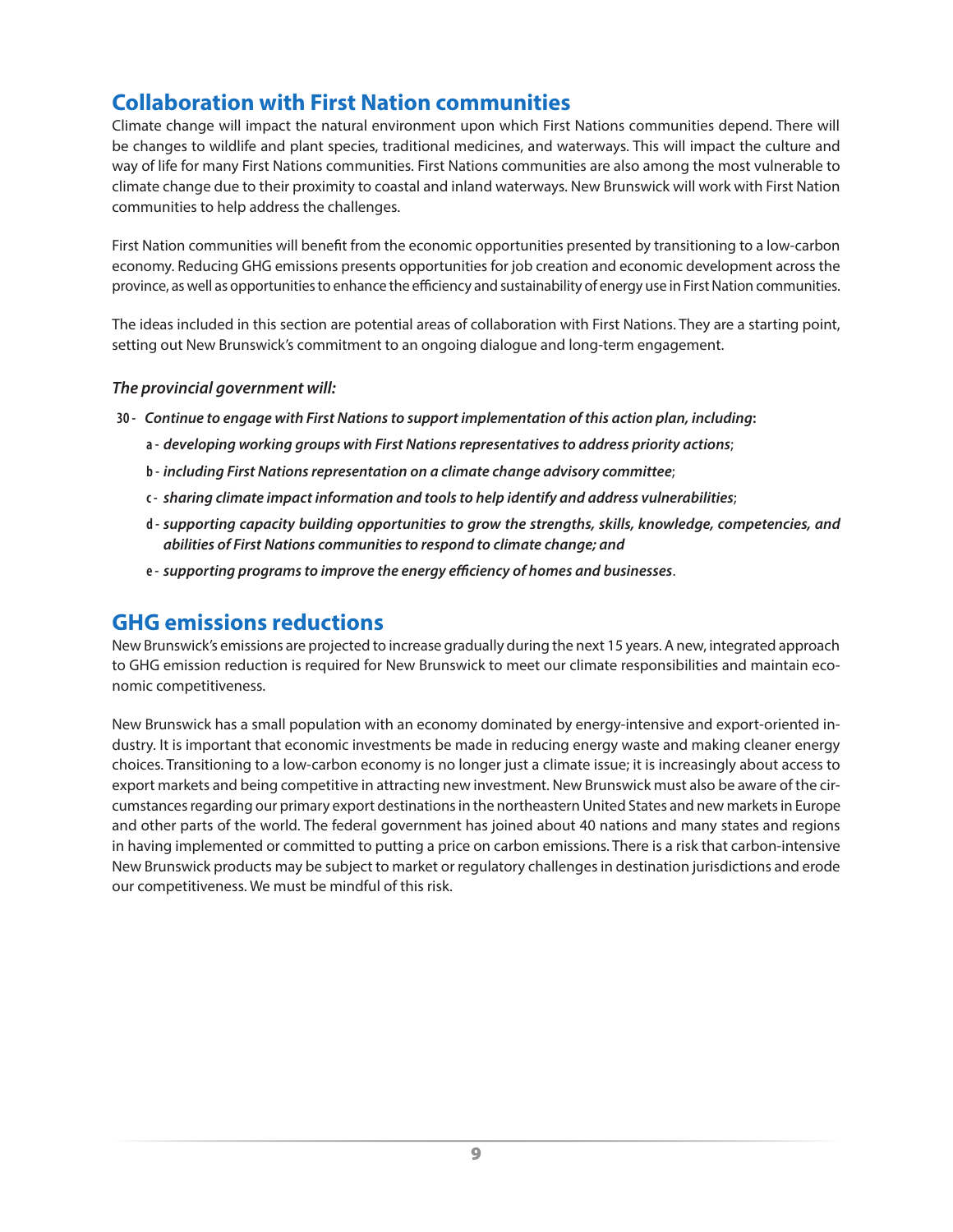### <span id="page-12-0"></span>**Collaboration with First Nation communities**

Climate change will impact the natural environment upon which First Nations communities depend. There will be changes to wildlife and plant species, traditional medicines, and waterways. This will impact the culture and way of life for many First Nations communities. First Nations communities are also among the most vulnerable to climate change due to their proximity to coastal and inland waterways. New Brunswick will work with First Nation communities to help address the challenges.

First Nation communities will benefit from the economic opportunities presented by transitioning to a low-carbon economy. Reducing GHG emissions presents opportunities for job creation and economic development across the province, as well as opportunities to enhance the efficiency and sustainability of energy use in First Nation communities.

The ideas included in this section are potential areas of collaboration with First Nations. They are a starting point, setting out New Brunswick's commitment to an ongoing dialogue and long-term engagement.

#### *The provincial government will:*

- **30 -** *Continue to engage with First Nations to support implementation of this action plan, including***:**
	- **a -** *developing working groups with First Nations representatives to address priority actions*;
	- **b -** *including First Nations representation on a climate change advisory committee*;
	- **c -** *sharing climate impact information and tools to help identify and address vulnerabilities*;
	- **d -** *supporting capacity building opportunities to grow the strengths, skills, knowledge, competencies, and abilities of First Nations communities to respond to climate change; and*
	- **e -** *supporting programs to improve the energy efficiency of homes and businesses*.

#### **GHG emissions reductions**

New Brunswick's emissions are projected to increase gradually during the next 15 years. A new, integrated approach to GHG emission reduction is required for New Brunswick to meet our climate responsibilities and maintain economic competitiveness.

New Brunswick has a small population with an economy dominated by energy-intensive and export-oriented industry. It is important that economic investments be made in reducing energy waste and making cleaner energy choices. Transitioning to a low-carbon economy is no longer just a climate issue; it is increasingly about access to export markets and being competitive in attracting new investment. New Brunswick must also be aware of the circumstances regarding our primary export destinations in the northeastern United States and new markets in Europe and other parts of the world. The federal government has joined about 40 nations and many states and regions in having implemented or committed to putting a price on carbon emissions. There is a risk that carbon-intensive New Brunswick products may be subject to market or regulatory challenges in destination jurisdictions and erode our competitiveness. We must be mindful of this risk.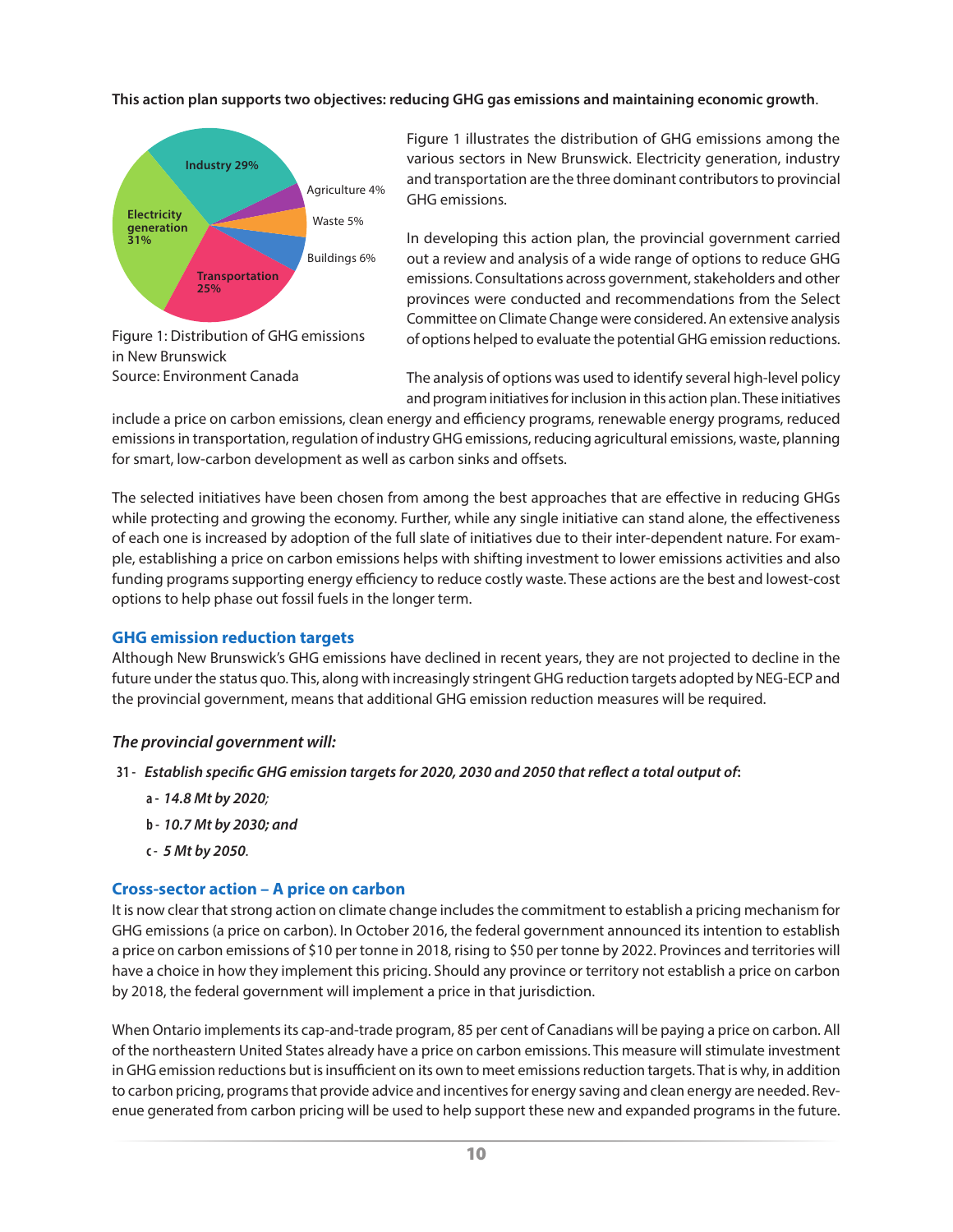#### <span id="page-13-0"></span>**This action plan supports two objectives: reducing GHG gas emissions and maintaining economic growth**.



Figure 1 illustrates the distribution of GHG emissions among the various sectors in New Brunswick. Electricity generation, industry and transportation are the three dominant contributors to provincial GHG emissions.

In developing this action plan, the provincial government carried out a review and analysis of a wide range of options to reduce GHG emissions. Consultations across government, stakeholders and other provinces were conducted and recommendations from the Select Committee on Climate Change were considered. An extensive analysis of options helped to evaluate the potential GHG emission reductions.

Figure 1: Distribution of GHG emissions in New Brunswick Source: Environment Canada

The analysis of options was used to identify several high-level policy and program initiatives for inclusion in this action plan. These initiatives

include a price on carbon emissions, clean energy and efficiency programs, renewable energy programs, reduced emissions in transportation, regulation of industry GHG emissions, reducing agricultural emissions, waste, planning for smart, low-carbon development as well as carbon sinks and offsets.

The selected initiatives have been chosen from among the best approaches that are effective in reducing GHGs while protecting and growing the economy. Further, while any single initiative can stand alone, the effectiveness of each one is increased by adoption of the full slate of initiatives due to their inter-dependent nature. For example, establishing a price on carbon emissions helps with shifting investment to lower emissions activities and also funding programs supporting energy efficiency to reduce costly waste. These actions are the best and lowest-cost options to help phase out fossil fuels in the longer term.

#### **GHG emission reduction targets**

Although New Brunswick's GHG emissions have declined in recent years, they are not projected to decline in the future under the status quo. This, along with increasingly stringent GHG reduction targets adopted by NEG-ECP and the provincial government, means that additional GHG emission reduction measures will be required.

#### *The provincial government will:*

- **31 -** *Establish specific GHG emission targets for 2020, 2030 and 2050 that reflect a total output of***:**
	- **a -** *14.8 Mt by 2020;*
	- **b -** *10.7 Mt by 2030; and*
	- **c -** *5 Mt by 2050.*

#### **Cross-sector action – A price on carbon**

It is now clear that strong action on climate change includes the commitment to establish a pricing mechanism for GHG emissions (a price on carbon). In October 2016, the federal government announced its intention to establish a price on carbon emissions of \$10 per tonne in 2018, rising to \$50 per tonne by 2022. Provinces and territories will have a choice in how they implement this pricing. Should any province or territory not establish a price on carbon by 2018, the federal government will implement a price in that jurisdiction.

When Ontario implements its cap-and-trade program, 85 per cent of Canadians will be paying a price on carbon. All of the northeastern United States already have a price on carbon emissions. This measure will stimulate investment in GHG emission reductions but is insufficient on its own to meet emissions reduction targets. That is why, in addition to carbon pricing, programs that provide advice and incentives for energy saving and clean energy are needed. Revenue generated from carbon pricing will be used to help support these new and expanded programs in the future.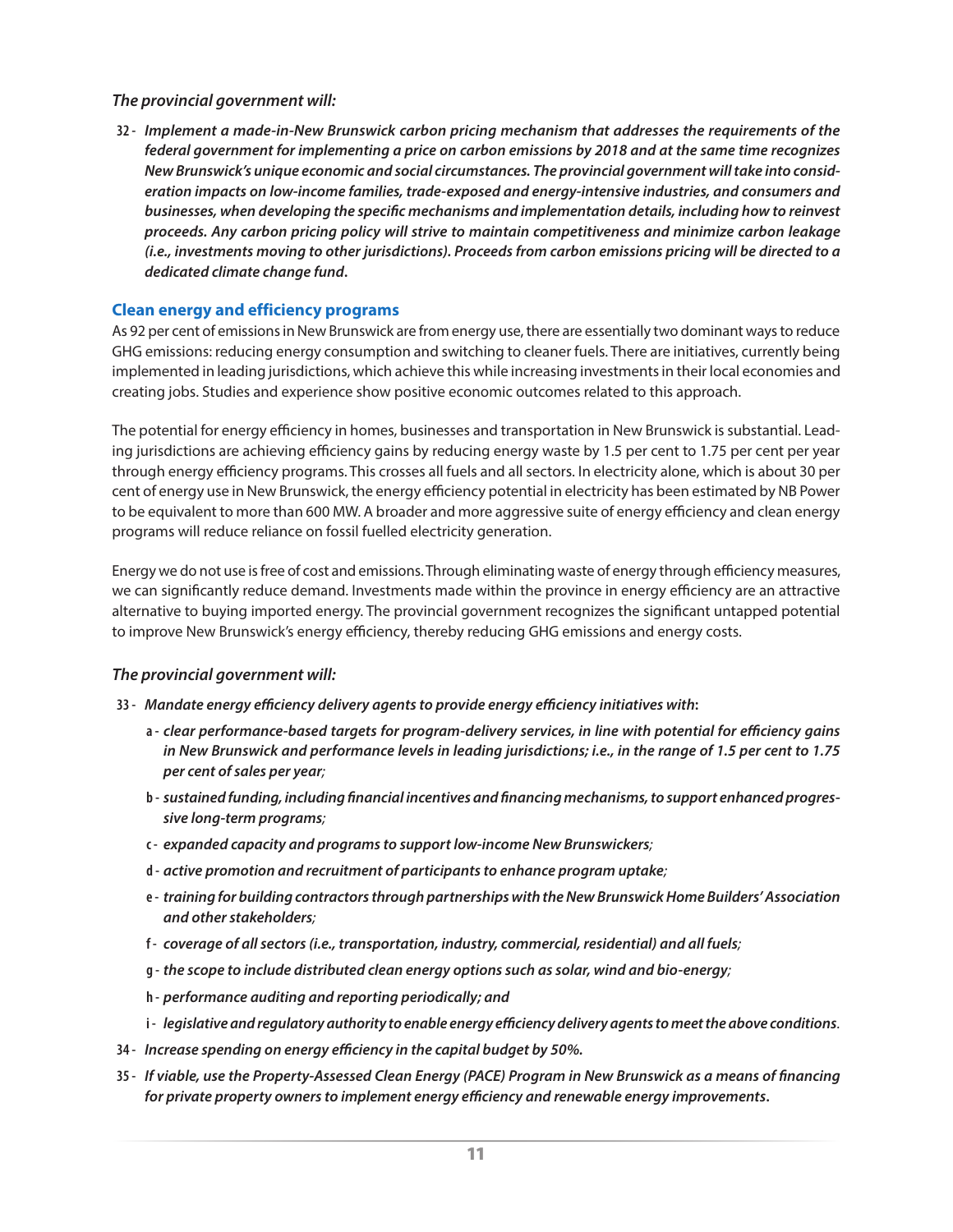#### <span id="page-14-0"></span>*The provincial government will:*

**32 -** *Implement a made-in-New Brunswick carbon pricing mechanism that addresses the requirements of the federal government for implementing a price on carbon emissions by 2018 and at the same time recognizes New Brunswick's unique economic and social circumstances. The provincial government will take into consideration impacts on low-income families, trade-exposed and energy-intensive industries, and consumers and businesses, when developing the specific mechanisms and implementation details, including how to reinvest proceeds. Any carbon pricing policy will strive to maintain competitiveness and minimize carbon leakage (i.e., investments moving to other jurisdictions). Proceeds from carbon emissions pricing will be directed to a dedicated climate change fund***.**

#### **Clean energy and efficiency programs**

As 92 per cent of emissions in New Brunswick are from energy use, there are essentially two dominant ways to reduce GHG emissions: reducing energy consumption and switching to cleaner fuels. There are initiatives, currently being implemented in leading jurisdictions, which achieve this while increasing investments in their local economies and creating jobs. Studies and experience show positive economic outcomes related to this approach.

The potential for energy efficiency in homes, businesses and transportation in New Brunswick is substantial. Leading jurisdictions are achieving efficiency gains by reducing energy waste by 1.5 per cent to 1.75 per cent per year through energy efficiency programs. This crosses all fuels and all sectors. In electricity alone, which is about 30 per cent of energy use in New Brunswick, the energy efficiency potential in electricity has been estimated by NB Power to be equivalent to more than 600 MW. A broader and more aggressive suite of energy efficiency and clean energy programs will reduce reliance on fossil fuelled electricity generation.

Energy we do not use is free of cost and emissions. Through eliminating waste of energy through efficiency measures, we can significantly reduce demand. Investments made within the province in energy efficiency are an attractive alternative to buying imported energy. The provincial government recognizes the significant untapped potential to improve New Brunswick's energy efficiency, thereby reducing GHG emissions and energy costs.

#### *The provincial government will:*

#### **33 -** *Mandate energy efficiency delivery agents to provide energy efficiency initiatives with***:**

- **a -** *clear performance-based targets for program-delivery services, in line with potential for efficiency gains in New Brunswick and performance levels in leading jurisdictions; i.e., in the range of 1.5 per cent to 1.75 per cent of sales per year;*
- **b -** *sustained funding, including financial incentives and financing mechanisms, to support enhanced progressive long-term programs;*
- **c -** *expanded capacity and programs to support low-income New Brunswickers;*
- **d -** *active promotion and recruitment of participants to enhance program uptake;*
- **e -** *training for building contractors through partnerships with the New Brunswick Home Builders' Association and other stakeholders;*
- **f -** *coverage of all sectors (i.e., transportation, industry, commercial, residential) and all fuels;*
- **g -** *the scope to include distributed clean energy options such as solar, wind and bio-energy;*
- **h -** *performance auditing and reporting periodically; and*
- **i -** *legislative and regulatory authority to enable energy efficiency delivery agents to meet the above conditions.*
- **34 -** *Increase spending on energy efficiency in the capital budget by 50%.*
- **35 -** *If viable, use the Property-Assessed Clean Energy (PACE) Program in New Brunswick as a means of financing for private property owners to implement energy efficiency and renewable energy improvements***.**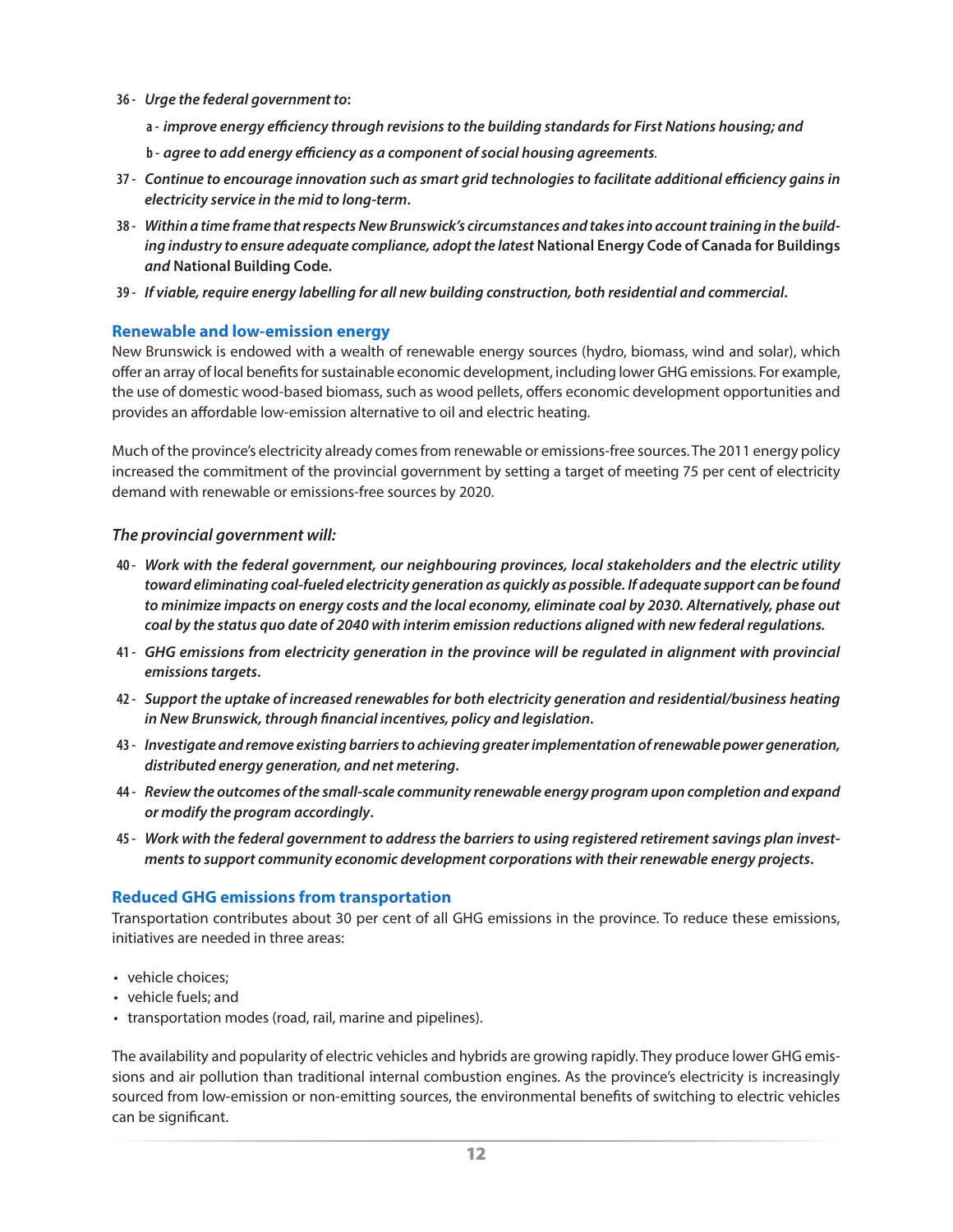- <span id="page-15-0"></span>**36 -** *Urge the federal government to***:**
	- **a -** *improve energy efficiency through revisions to the building standards for First Nations housing; and*
	- **b -** *agree to add energy efficiency as a component of social housing agreements.*
- **37 -** *Continue to encourage innovation such as smart grid technologies to facilitate additional efficiency gains in electricity service in the mid to long-term***.**
- **38 -** *Within a time frame that respects New Brunswick's circumstances and takes into account training in the building industry to ensure adequate compliance, adopt the latest* **National Energy Code of Canada for Buildings** *and* **National Building Code.**
- **39 -** *If viable, require energy labelling for all new building construction, both residential and commercial***.**

#### **Renewable and low-emission energy**

New Brunswick is endowed with a wealth of renewable energy sources (hydro, biomass, wind and solar), which offer an array of local benefits for sustainable economic development, including lower GHG emissions. For example, the use of domestic wood-based biomass, such as wood pellets, offers economic development opportunities and provides an affordable low-emission alternative to oil and electric heating.

Much of the province's electricity already comes from renewable or emissions-free sources. The 2011 energy policy increased the commitment of the provincial government by setting a target of meeting 75 per cent of electricity demand with renewable or emissions-free sources by 2020.

#### *The provincial government will:*

- **40 -** *Work with the federal government, our neighbouring provinces, local stakeholders and the electric utility toward eliminating coal-fueled electricity generation as quickly as possible. If adequate support can be found to minimize impacts on energy costs and the local economy, eliminate coal by 2030. Alternatively, phase out coal by the status quo date of 2040 with interim emission reductions aligned with new federal regulations.*
- **41 -** *GHG emissions from electricity generation in the province will be regulated in alignment with provincial emissions targets***.**
- **42 -** *Support the uptake of increased renewables for both electricity generation and residential/business heating in New Brunswick, through financial incentives, policy and legislation***.**
- **43 -** *Investigate and remove existing barriers to achieving greater implementation of renewable power generation, distributed energy generation, and net metering***.**
- **44 -** *Review the outcomes of the small-scale community renewable energy program upon completion and expand or modify the program accordingly***.**
- **45 -** *Work with the federal government to address the barriers to using registered retirement savings plan investments to support community economic development corporations with their renewable energy projects***.**

#### **Reduced GHG emissions from transportation**

Transportation contributes about 30 per cent of all GHG emissions in the province. To reduce these emissions, initiatives are needed in three areas:

- vehicle choices:
- vehicle fuels; and
- transportation modes (road, rail, marine and pipelines).

The availability and popularity of electric vehicles and hybrids are growing rapidly. They produce lower GHG emissions and air pollution than traditional internal combustion engines. As the province's electricity is increasingly sourced from low-emission or non-emitting sources, the environmental benefits of switching to electric vehicles can be significant.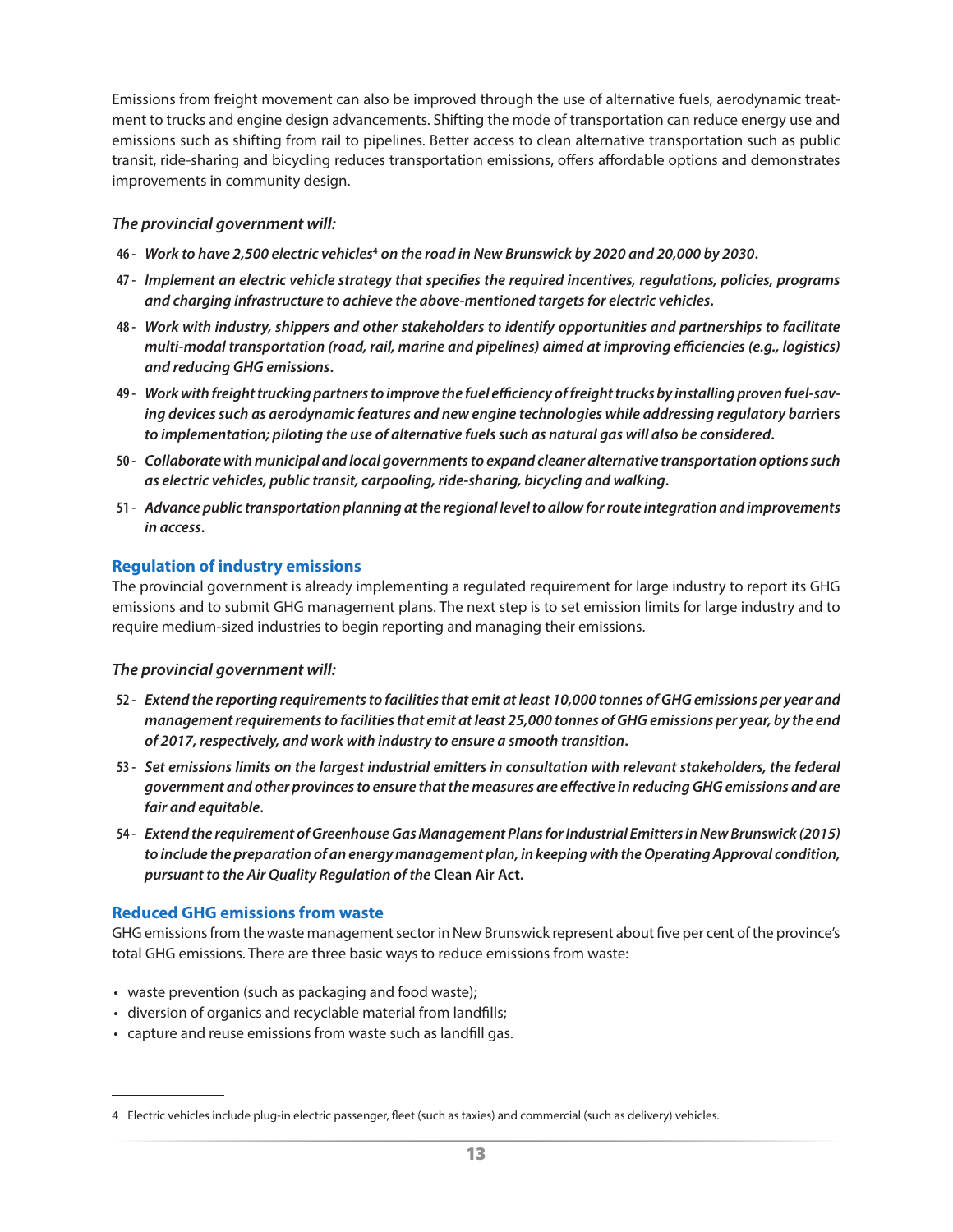<span id="page-16-0"></span>Emissions from freight movement can also be improved through the use of alternative fuels, aerodynamic treatment to trucks and engine design advancements. Shifting the mode of transportation can reduce energy use and emissions such as shifting from rail to pipelines. Better access to clean alternative transportation such as public transit, ride-sharing and bicycling reduces transportation emissions, offers affordable options and demonstrates improvements in community design.

#### *The provincial government will:*

- **46 -** *Work to have 2,500 electric vehicles***<sup>4</sup>** *on the road in New Brunswick by 2020 and 20,000 by 2030***.**
- **47 -** *Implement an electric vehicle strategy that specifies the required incentives, regulations, policies, programs and charging infrastructure to achieve the above-mentioned targets for electric vehicles***.**
- **48 -** *Work with industry, shippers and other stakeholders to identify opportunities and partnerships to facilitate multi-modal transportation (road, rail, marine and pipelines) aimed at improving efficiencies (e.g., logistics) and reducing GHG emissions***.**
- **49 -** *Work with freight trucking partners to improve the fuel efficiency of freight trucks by installing proven fuel-saving devices such as aerodynamic features and new engine technologies while addressing regulatory barr***iers** *to implementation; piloting the use of alternative fuels such as natural gas will also be considered***.**
- **50 -** *Collaborate with municipal and local governments to expand cleaner alternative transportation options such as electric vehicles, public transit, carpooling, ride-sharing, bicycling and walking***.**
- **51 -** *Advance public transportation planning at the regional level to allow for route integration and improvements in access***.**

#### **Regulation of industry emissions**

The provincial government is already implementing a regulated requirement for large industry to report its GHG emissions and to submit GHG management plans. The next step is to set emission limits for large industry and to require medium-sized industries to begin reporting and managing their emissions.

#### *The provincial government will:*

- **52 -** *Extend the reporting requirements to facilities that emit at least 10,000 tonnes of GHG emissions per year and management requirements to facilities that emit at least 25,000 tonnes of GHG emissions per year, by the end of 2017, respectively, and work with industry to ensure a smooth transition***.**
- **53 -** *Set emissions limits on the largest industrial emitters in consultation with relevant stakeholders, the federal government and other provinces to ensure that the measures are effective in reducing GHG emissions and are fair and equitable***.**
- **54 -** *Extend the requirement of Greenhouse Gas Management Plans for Industrial Emitters in New Brunswick (2015) to include the preparation of an energy management plan, in keeping with the Operating Approval condition, pursuant to the Air Quality Regulation of the* **Clean Air Act.**

#### **Reduced GHG emissions from waste**

GHG emissions from the waste management sector in New Brunswick represent about five per cent of the province's total GHG emissions. There are three basic ways to reduce emissions from waste:

- waste prevention (such as packaging and food waste);
- diversion of organics and recyclable material from landfills;
- capture and reuse emissions from waste such as landfill gas.

<sup>4</sup> Electric vehicles include plug-in electric passenger, fleet (such as taxies) and commercial (such as delivery) vehicles.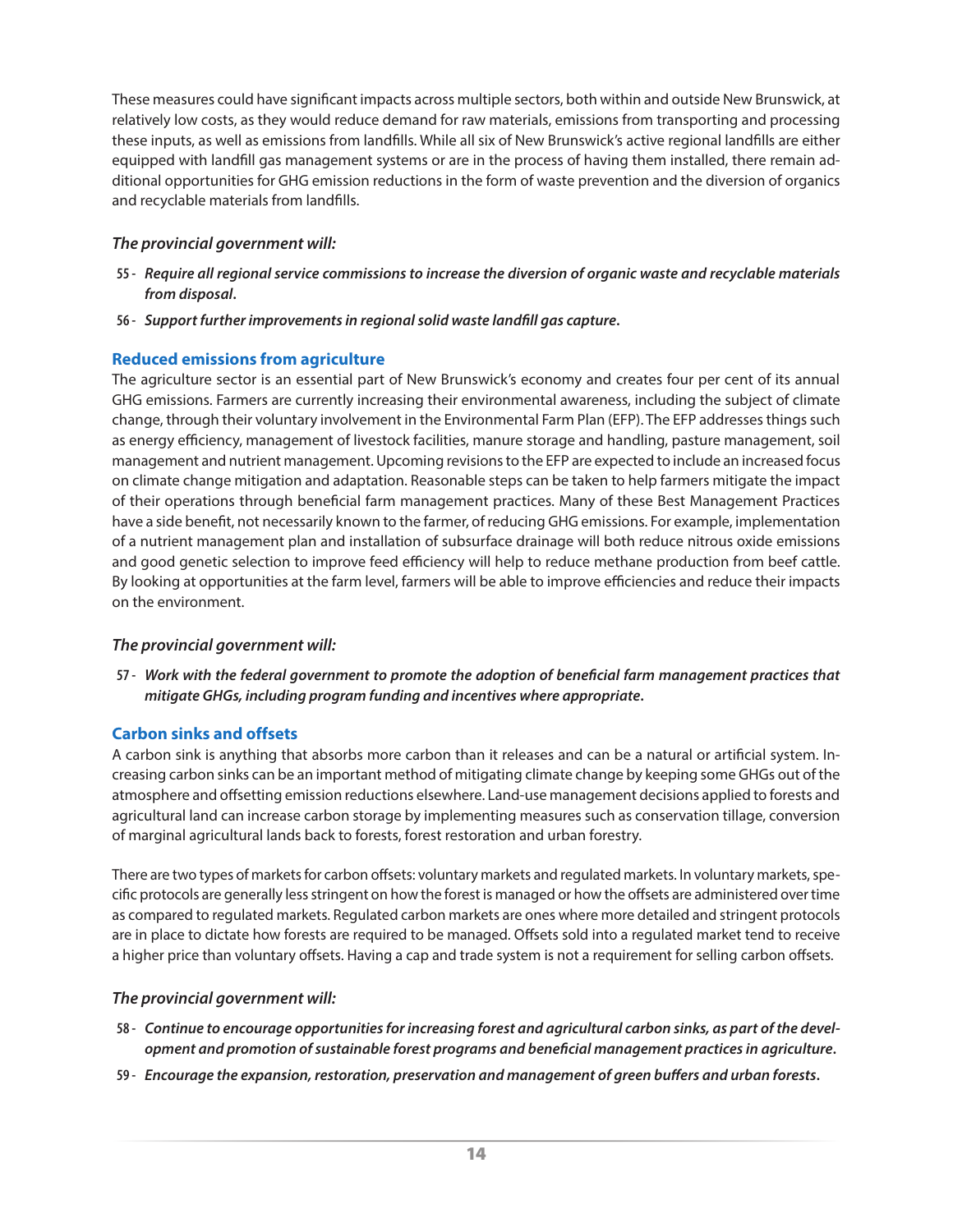<span id="page-17-0"></span>These measures could have significant impacts across multiple sectors, both within and outside New Brunswick, at relatively low costs, as they would reduce demand for raw materials, emissions from transporting and processing these inputs, as well as emissions from landfills. While all six of New Brunswick's active regional landfills are either equipped with landfill gas management systems or are in the process of having them installed, there remain additional opportunities for GHG emission reductions in the form of waste prevention and the diversion of organics and recyclable materials from landfills.

#### *The provincial government will:*

- **55 -** *Require all regional service commissions to increase the diversion of organic waste and recyclable materials from disposal***.**
- **56 -** *Support further improvements in regional solid waste landfill gas capture***.**

#### **Reduced emissions from agriculture**

The agriculture sector is an essential part of New Brunswick's economy and creates four per cent of its annual GHG emissions. Farmers are currently increasing their environmental awareness, including the subject of climate change, through their voluntary involvement in the Environmental Farm Plan (EFP). The EFP addresses things such as energy efficiency, management of livestock facilities, manure storage and handling, pasture management, soil management and nutrient management. Upcoming revisions to the EFP are expected to include an increased focus on climate change mitigation and adaptation. Reasonable steps can be taken to help farmers mitigate the impact of their operations through beneficial farm management practices. Many of these Best Management Practices have a side benefit, not necessarily known to the farmer, of reducing GHG emissions. For example, implementation of a nutrient management plan and installation of subsurface drainage will both reduce nitrous oxide emissions and good genetic selection to improve feed efficiency will help to reduce methane production from beef cattle. By looking at opportunities at the farm level, farmers will be able to improve efficiencies and reduce their impacts on the environment.

#### *The provincial government will:*

**57 -** *Work with the federal government to promote the adoption of beneficial farm management practices that mitigate GHGs, including program funding and incentives where appropriate***.**

#### **Carbon sinks and offsets**

A carbon sink is anything that absorbs more carbon than it releases and can be a natural or artificial system. Increasing carbon sinks can be an important method of mitigating climate change by keeping some GHGs out of the atmosphere and offsetting emission reductions elsewhere. Land-use management decisions applied to forests and agricultural land can increase carbon storage by implementing measures such as conservation tillage, conversion of marginal agricultural lands back to forests, forest restoration and urban forestry.

There are two types of markets for carbon offsets: voluntary markets and regulated markets. In voluntary markets, specific protocols are generally less stringent on how the forest is managed or how the offsets are administered over time as compared to regulated markets. Regulated carbon markets are ones where more detailed and stringent protocols are in place to dictate how forests are required to be managed. Offsets sold into a regulated market tend to receive a higher price than voluntary offsets. Having a cap and trade system is not a requirement for selling carbon offsets.

- **58 -** *Continue to encourage opportunities for increasing forest and agricultural carbon sinks, as part of the development and promotion of sustainable forest programs and beneficial management practices in agriculture***.**
- **59 -** *Encourage the expansion, restoration, preservation and management of green buffers and urban forests***.**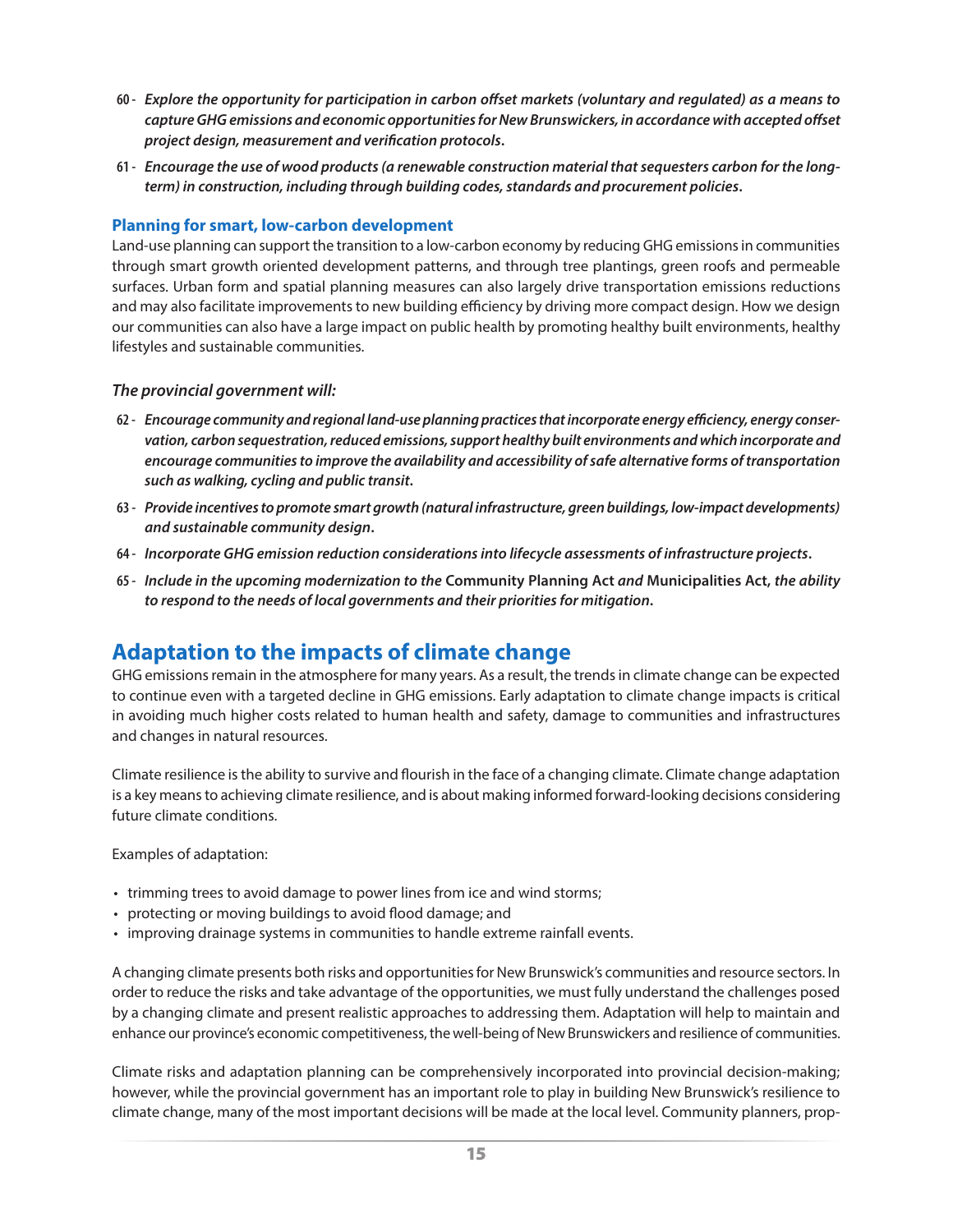- <span id="page-18-0"></span>**60 -** *Explore the opportunity for participation in carbon offset markets (voluntary and regulated) as a means to capture GHG emissions and economic opportunities for New Brunswickers, in accordance with accepted offset project design, measurement and verification protocols***.**
- **61 -** *Encourage the use of wood products (a renewable construction material that sequesters carbon for the longterm) in construction, including through building codes, standards and procurement policies***.**

#### **Planning for smart, low-carbon development**

Land-use planning can support the transition to a low-carbon economy by reducing GHG emissions in communities through smart growth oriented development patterns, and through tree plantings, green roofs and permeable surfaces. Urban form and spatial planning measures can also largely drive transportation emissions reductions and may also facilitate improvements to new building efficiency by driving more compact design. How we design our communities can also have a large impact on public health by promoting healthy built environments, healthy lifestyles and sustainable communities.

#### *The provincial government will:*

- **62 -** *Encourage community and regional land-use planning practices that incorporate energy efficiency, energy conservation, carbon sequestration, reduced emissions, support healthy built environments and which incorporate and encourage communities to improve the availability and accessibility of safe alternative forms of transportation such as walking, cycling and public transit***.**
- **63 -** *Provide incentives to promote smart growth (natural infrastructure, green buildings, low-impact developments) and sustainable community design***.**
- **64 -** *Incorporate GHG emission reduction considerations into lifecycle assessments of infrastructure projects***.**
- **65 -** *Include in the upcoming modernization to the* **Community Planning Act** *and* **Municipalities Act,** *the ability to respond to the needs of local governments and their priorities for mitigation***.**

### **Adaptation to the impacts of climate change**

GHG emissions remain in the atmosphere for many years. As a result, the trends in climate change can be expected to continue even with a targeted decline in GHG emissions. Early adaptation to climate change impacts is critical in avoiding much higher costs related to human health and safety, damage to communities and infrastructures and changes in natural resources.

Climate resilience is the ability to survive and flourish in the face of a changing climate. Climate change adaptation is a key means to achieving climate resilience, and is about making informed forward-looking decisions considering future climate conditions.

Examples of adaptation:

- trimming trees to avoid damage to power lines from ice and wind storms;
- protecting or moving buildings to avoid flood damage; and
- improving drainage systems in communities to handle extreme rainfall events.

A changing climate presents both risks and opportunities for New Brunswick's communities and resource sectors. In order to reduce the risks and take advantage of the opportunities, we must fully understand the challenges posed by a changing climate and present realistic approaches to addressing them. Adaptation will help to maintain and enhance our province's economic competitiveness, the well-being of New Brunswickers and resilience of communities.

Climate risks and adaptation planning can be comprehensively incorporated into provincial decision-making; however, while the provincial government has an important role to play in building New Brunswick's resilience to climate change, many of the most important decisions will be made at the local level. Community planners, prop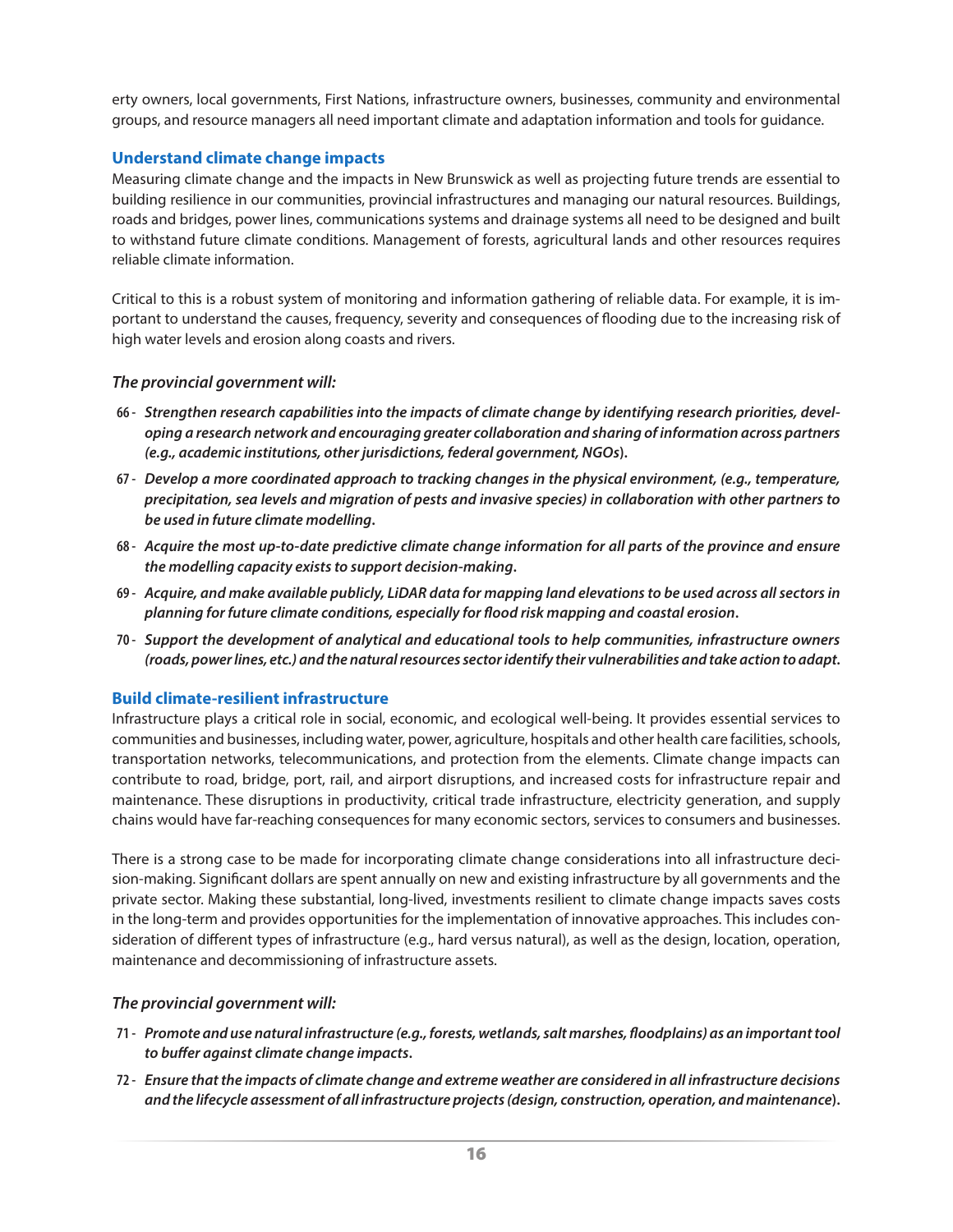<span id="page-19-0"></span>erty owners, local governments, First Nations, infrastructure owners, businesses, community and environmental groups, and resource managers all need important climate and adaptation information and tools for guidance.

#### **Understand climate change impacts**

Measuring climate change and the impacts in New Brunswick as well as projecting future trends are essential to building resilience in our communities, provincial infrastructures and managing our natural resources. Buildings, roads and bridges, power lines, communications systems and drainage systems all need to be designed and built to withstand future climate conditions. Management of forests, agricultural lands and other resources requires reliable climate information.

Critical to this is a robust system of monitoring and information gathering of reliable data. For example, it is important to understand the causes, frequency, severity and consequences of flooding due to the increasing risk of high water levels and erosion along coasts and rivers.

#### *The provincial government will:*

- **66 -** *Strengthen research capabilities into the impacts of climate change by identifying research priorities, developing a research network and encouraging greater collaboration and sharing of information across partners (e.g., academic institutions, other jurisdictions, federal government, NGOs***).**
- **67 -** *Develop a more coordinated approach to tracking changes in the physical environment, (e.g., temperature, precipitation, sea levels and migration of pests and invasive species) in collaboration with other partners to be used in future climate modelling***.**
- **68 -** *Acquire the most up-to-date predictive climate change information for all parts of the province and ensure the modelling capacity exists to support decision-making***.**
- **69 -** *Acquire, and make available publicly, LiDAR data for mapping land elevations to be used across all sectors in planning for future climate conditions, especially for flood risk mapping and coastal erosion***.**
- **70 -** *Support the development of analytical and educational tools to help communities, infrastructure owners (roads, power lines, etc.) and the natural resources sector identify their vulnerabilities and take action to adapt***.**

#### **Build climate-resilient infrastructure**

Infrastructure plays a critical role in social, economic, and ecological well-being. It provides essential services to communities and businesses, including water, power, agriculture, hospitals and other health care facilities, schools, transportation networks, telecommunications, and protection from the elements. Climate change impacts can contribute to road, bridge, port, rail, and airport disruptions, and increased costs for infrastructure repair and maintenance. These disruptions in productivity, critical trade infrastructure, electricity generation, and supply chains would have far-reaching consequences for many economic sectors, services to consumers and businesses.

There is a strong case to be made for incorporating climate change considerations into all infrastructure decision-making. Significant dollars are spent annually on new and existing infrastructure by all governments and the private sector. Making these substantial, long-lived, investments resilient to climate change impacts saves costs in the long-term and provides opportunities for the implementation of innovative approaches. This includes consideration of different types of infrastructure (e.g., hard versus natural), as well as the design, location, operation, maintenance and decommissioning of infrastructure assets.

- **71 -** *Promote and use natural infrastructure (e.g., forests, wetlands, salt marshes, floodplains) as an important tool to buffer against climate change impacts***.**
- **72 -** *Ensure that the impacts of climate change and extreme weather are considered in all infrastructure decisions and the lifecycle assessment of all infrastructure projects (design, construction, operation, and maintenance***).**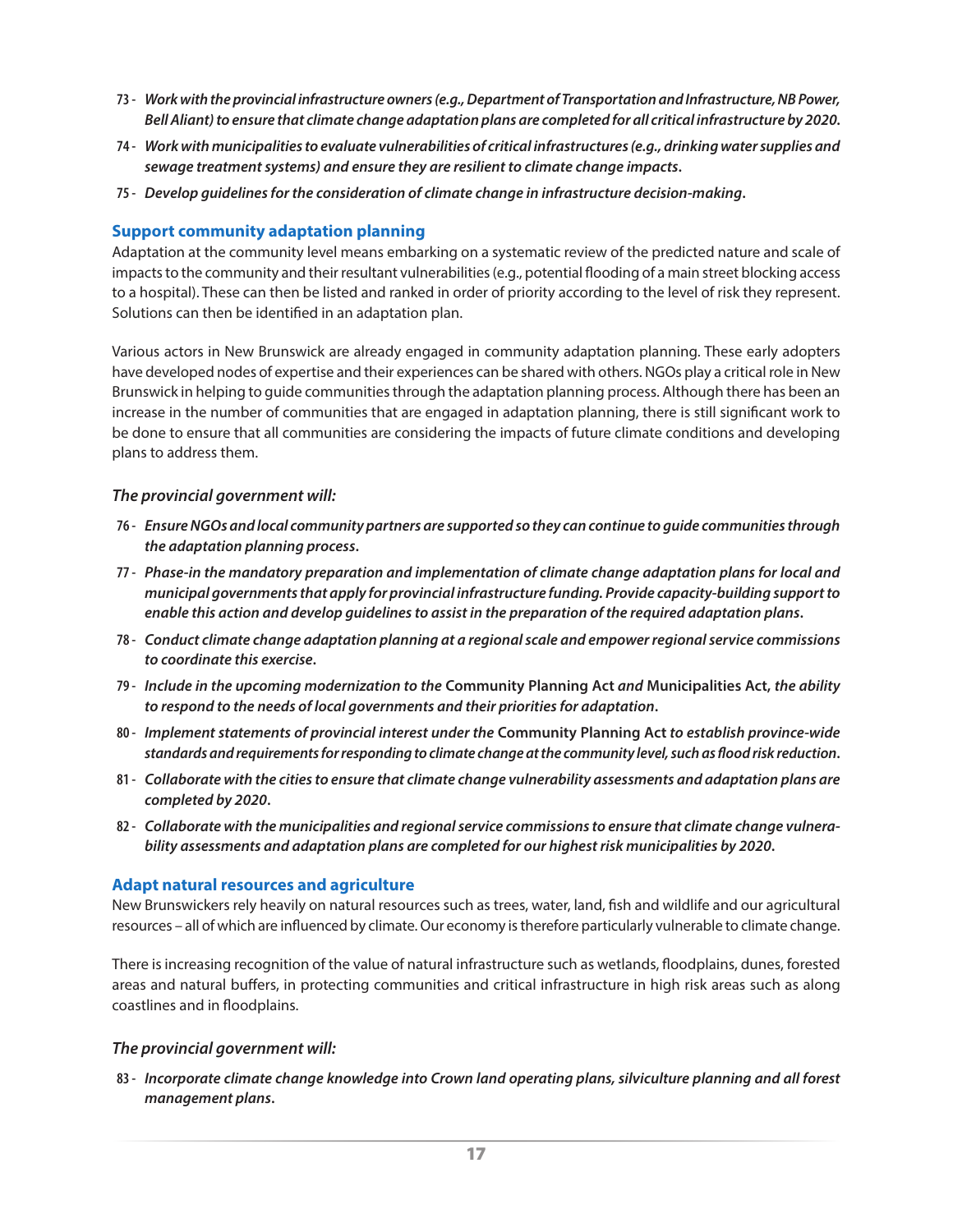- <span id="page-20-0"></span>**73 -** *Work with the provincial infrastructure owners (e.g., Department of Transportation and Infrastructure, NB Power, Bell Aliant) to ensure that climate change adaptation plans are completed for all critical infrastructure by 2020***.**
- **74 -** *Work with municipalities to evaluate vulnerabilities of critical infrastructures (e.g., drinking water supplies and sewage treatment systems) and ensure they are resilient to climate change impacts***.**
- **75 -** *Develop guidelines for the consideration of climate change in infrastructure decision-making***.**

#### **Support community adaptation planning**

Adaptation at the community level means embarking on a systematic review of the predicted nature and scale of impacts to the community and their resultant vulnerabilities (e.g., potential flooding of a main street blocking access to a hospital). These can then be listed and ranked in order of priority according to the level of risk they represent. Solutions can then be identified in an adaptation plan.

Various actors in New Brunswick are already engaged in community adaptation planning. These early adopters have developed nodes of expertise and their experiences can be shared with others. NGOs play a critical role in New Brunswick in helping to guide communities through the adaptation planning process. Although there has been an increase in the number of communities that are engaged in adaptation planning, there is still significant work to be done to ensure that all communities are considering the impacts of future climate conditions and developing plans to address them.

#### *The provincial government will:*

- **76 -** *Ensure NGOs and local community partners are supported so they can continue to guide communities through the adaptation planning process***.**
- **77 -** *Phase-in the mandatory preparation and implementation of climate change adaptation plans for local and municipal governments that apply for provincial infrastructure funding. Provide capacity-building support to enable this action and develop guidelines to assist in the preparation of the required adaptation plans***.**
- **78 -** *Conduct climate change adaptation planning at a regional scale and empower regional service commissions to coordinate this exercise***.**
- **79 -** *Include in the upcoming modernization to the* **Community Planning Act** *and* **Municipalities Act,** *the ability to respond to the needs of local governments and their priorities for adaptation***.**
- **80 -** *Implement statements of provincial interest under the* **Community Planning Act** *to establish province-wide standards and requirements for responding to climate change at the community level, such as flood risk reduction***.**
- **81 -** *Collaborate with the cities to ensure that climate change vulnerability assessments and adaptation plans are completed by 2020***.**
- **82 -** *Collaborate with the municipalities and regional service commissions to ensure that climate change vulnerability assessments and adaptation plans are completed for our highest risk municipalities by 2020***.**

#### **Adapt natural resources and agriculture**

New Brunswickers rely heavily on natural resources such as trees, water, land, fish and wildlife and our agricultural resources – all of which are influenced by climate. Our economy is therefore particularly vulnerable to climate change.

There is increasing recognition of the value of natural infrastructure such as wetlands, floodplains, dunes, forested areas and natural buffers, in protecting communities and critical infrastructure in high risk areas such as along coastlines and in floodplains.

#### *The provincial government will:*

**83 -** *Incorporate climate change knowledge into Crown land operating plans, silviculture planning and all forest management plans***.**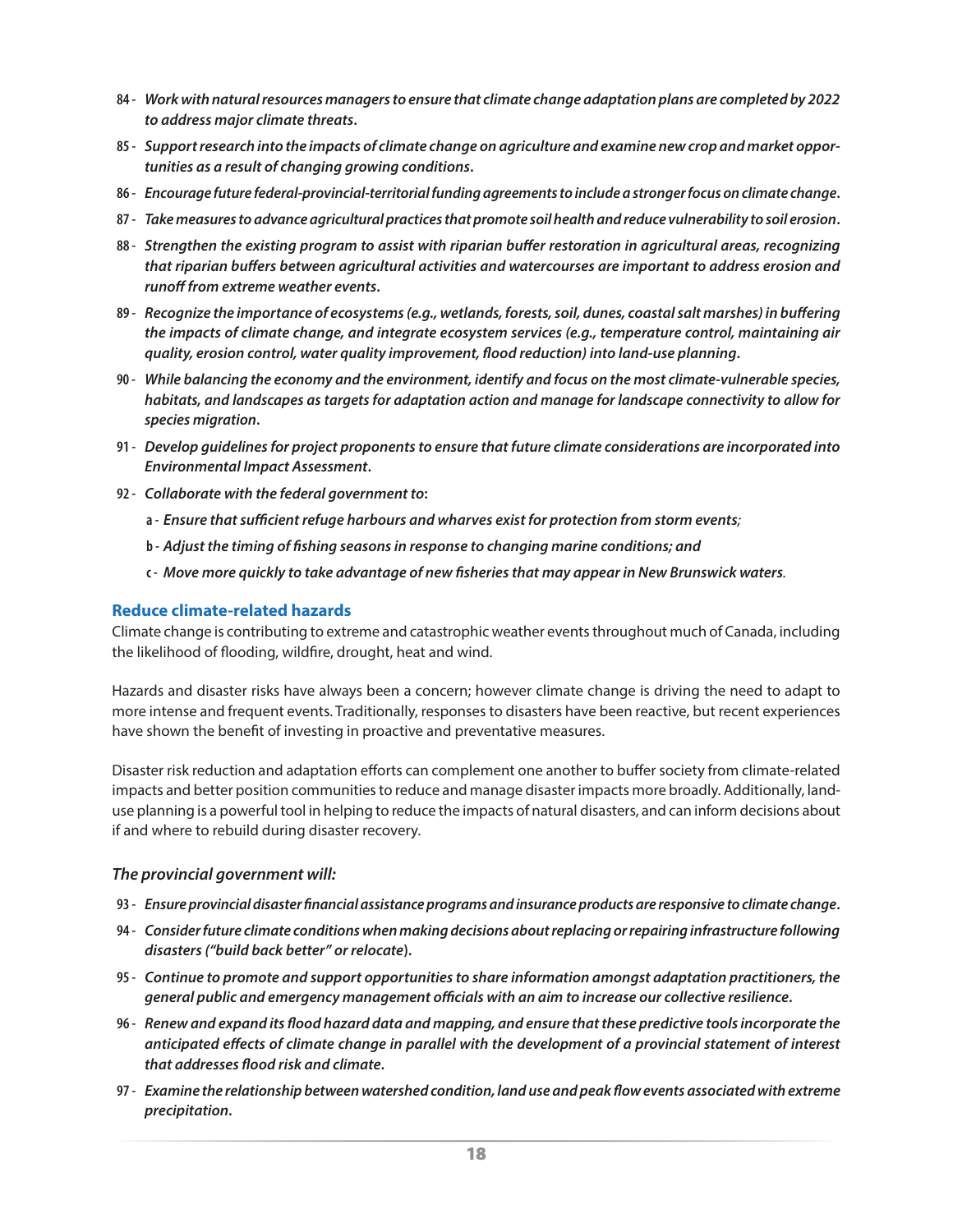- <span id="page-21-0"></span>**84 -** *Work with natural resources managers to ensure that climate change adaptation plans are completed by 2022 to address major climate threats***.**
- **85 -** *Support research into the impacts of climate change on agriculture and examine new crop and market opportunities as a result of changing growing conditions***.**
- **86 -** *Encourage future federal-provincial-territorial funding agreements to include a stronger focus on climate change***.**
- **87 -** *Take measures to advance agricultural practices that promote soil health and reduce vulnerability to soil erosion***.**
- **88 -** *Strengthen the existing program to assist with riparian buffer restoration in agricultural areas, recognizing that riparian buffers between agricultural activities and watercourses are important to address erosion and runoff from extreme weather events***.**
- **89 -** *Recognize the importance of ecosystems (e.g., wetlands, forests, soil, dunes, coastal salt marshes) in buffering the impacts of climate change, and integrate ecosystem services (e.g., temperature control, maintaining air quality, erosion control, water quality improvement, flood reduction) into land-use planning***.**
- **90 -** *While balancing the economy and the environment, identify and focus on the most climate-vulnerable species, habitats, and landscapes as targets for adaptation action and manage for landscape connectivity to allow for species migration***.**
- **91 -** *Develop guidelines for project proponents to ensure that future climate considerations are incorporated into Environmental Impact Assessment***.**
- **92 -** *Collaborate with the federal government to***:**
	- **a -** *Ensure that sufficient refuge harbours and wharves exist for protection from storm events;*
	- **b -** *Adjust the timing of fishing seasons in response to changing marine conditions; and*
	- **c -** *Move more quickly to take advantage of new fisheries that may appear in New Brunswick waters.*

#### **Reduce climate-related hazards**

Climate change is contributing to extreme and catastrophic weather events throughout much of Canada, including the likelihood of flooding, wildfire, drought, heat and wind.

Hazards and disaster risks have always been a concern; however climate change is driving the need to adapt to more intense and frequent events. Traditionally, responses to disasters have been reactive, but recent experiences have shown the benefit of investing in proactive and preventative measures.

Disaster risk reduction and adaptation efforts can complement one another to buffer society from climate-related impacts and better position communities to reduce and manage disaster impacts more broadly. Additionally, landuse planning is a powerful tool in helping to reduce the impacts of natural disasters, and can inform decisions about if and where to rebuild during disaster recovery.

- **93 -** *Ensure provincial disaster financial assistance programs and insurance products are responsive to climate change***.**
- **94 -** *Consider future climate conditions when making decisions about replacing or repairing infrastructure following disasters ("build back better" or relocate***).**
- **95 -** *Continue to promote and support opportunities to share information amongst adaptation practitioners, the general public and emergency management officials with an aim to increase our collective resilience***.**
- **96 -** *Renew and expand its flood hazard data and mapping, and ensure that these predictive tools incorporate the anticipated effects of climate change in parallel with the development of a provincial statement of interest that addresses flood risk and climate***.**
- **97 -** *Examine the relationship between watershed condition, land use and peak flow events associated with extreme precipitation***.**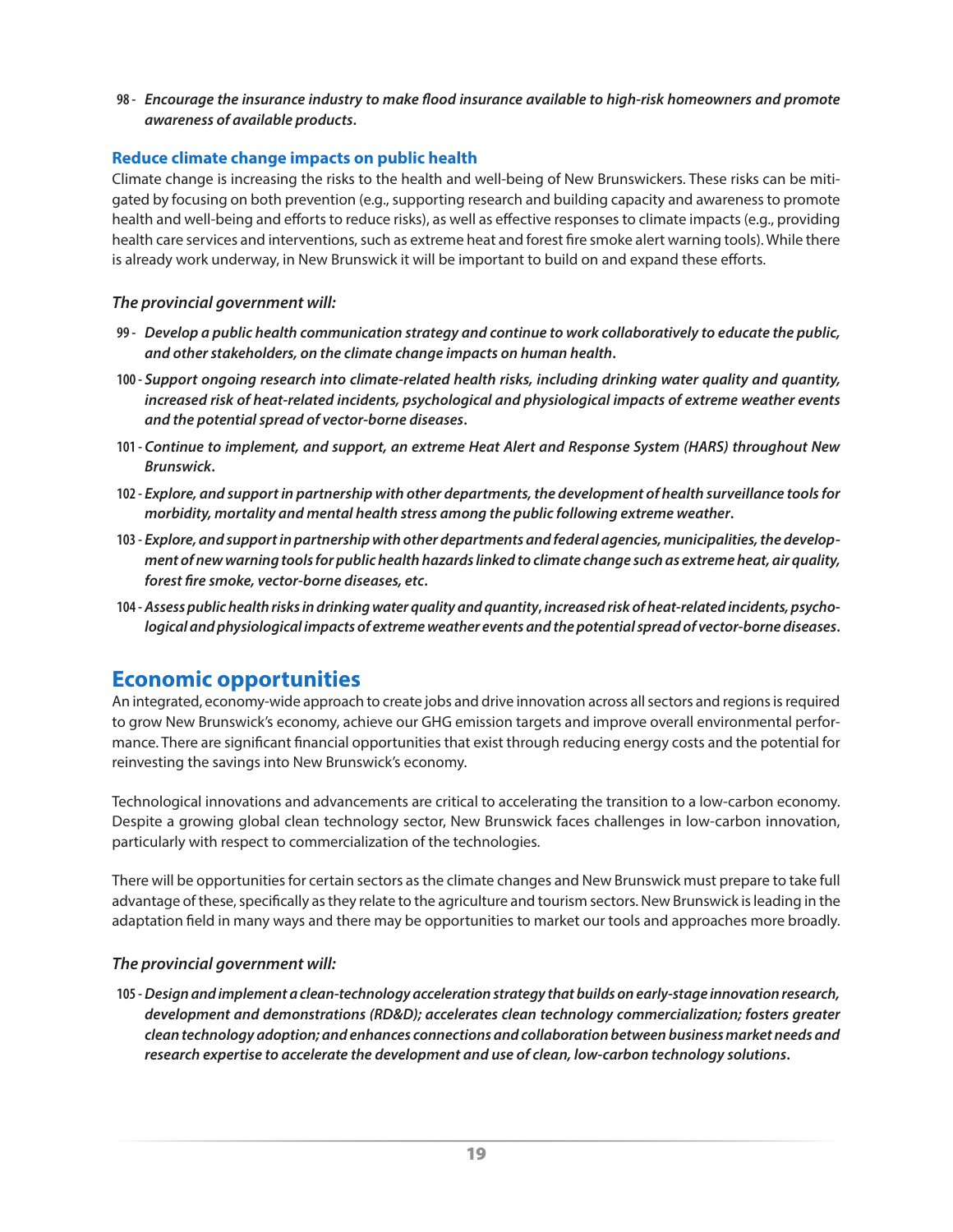<span id="page-22-0"></span>**98 -** *Encourage the insurance industry to make flood insurance available to high-risk homeowners and promote awareness of available products***.**

#### **Reduce climate change impacts on public health**

Climate change is increasing the risks to the health and well-being of New Brunswickers. These risks can be mitigated by focusing on both prevention (e.g., supporting research and building capacity and awareness to promote health and well-being and efforts to reduce risks), as well as effective responses to climate impacts (e.g., providing health care services and interventions, such as extreme heat and forest fire smoke alert warning tools). While there is already work underway, in New Brunswick it will be important to build on and expand these efforts.

#### *The provincial government will:*

- **99 -** *Develop a public health communication strategy and continue to work collaboratively to educate the public, and other stakeholders, on the climate change impacts on human health***.**
- **100 -** *Support ongoing research into climate-related health risks, including drinking water quality and quantity, increased risk of heat-related incidents, psychological and physiological impacts of extreme weather events and the potential spread of vector-borne diseases***.**
- **101 -** *Continue to implement, and support, an extreme Heat Alert and Response System (HARS) throughout New Brunswick***.**
- **102 -** *Explore, and support in partnership with other departments, the development of health surveillance tools for morbidity, mortality and mental health stress among the public following extreme weather***.**
- **103 -** *Explore, and support in partnership with other departments and federal agencies, municipalities, the development of new warning tools for public health hazards linked to climate change such as extreme heat, air quality, forest fire smoke, vector-borne diseases, etc***.**
- **104 -** *Assess public health risks in drinking water quality and quantity***,** *increased risk of heat-related incidents, psychological and physiological impacts of extreme weather events and the potential spread of vector-borne diseases***.**

### **Economic opportunities**

An integrated, economy-wide approach to create jobs and drive innovation across all sectors and regions is required to grow New Brunswick's economy, achieve our GHG emission targets and improve overall environmental performance. There are significant financial opportunities that exist through reducing energy costs and the potential for reinvesting the savings into New Brunswick's economy.

Technological innovations and advancements are critical to accelerating the transition to a low-carbon economy. Despite a growing global clean technology sector, New Brunswick faces challenges in low-carbon innovation, particularly with respect to commercialization of the technologies.

There will be opportunities for certain sectors as the climate changes and New Brunswick must prepare to take full advantage of these, specifically as they relate to the agriculture and tourism sectors. New Brunswick is leading in the adaptation field in many ways and there may be opportunities to market our tools and approaches more broadly.

#### *The provincial government will:*

**105 -***Design and implement a clean-technology acceleration strategy that builds on early-stage innovation research, development and demonstrations (RD&D); accelerates clean technology commercialization; fosters greater clean technology adoption; and enhances connections and collaboration between business market needs and research expertise to accelerate the development and use of clean, low-carbon technology solutions***.**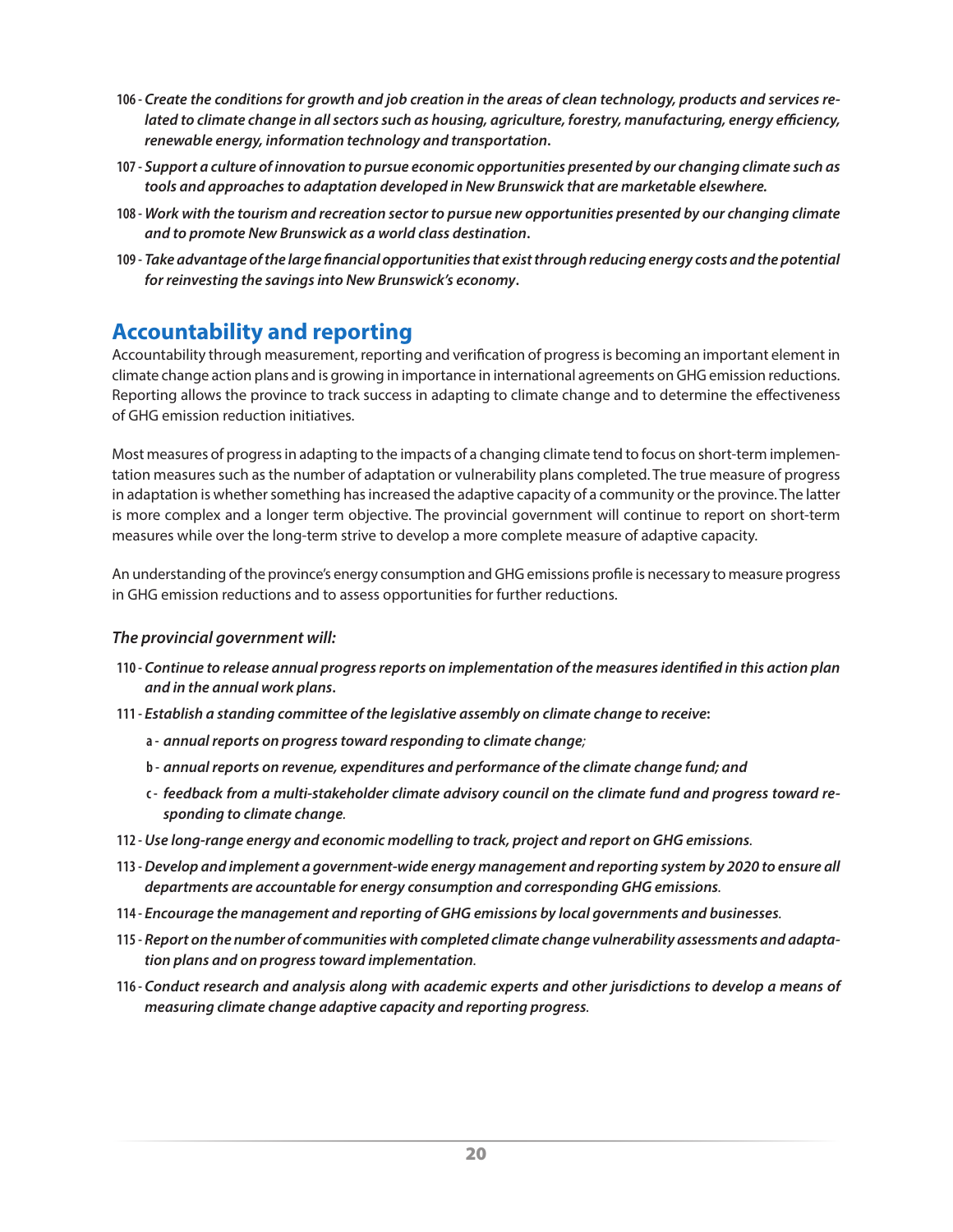- <span id="page-23-0"></span>**106 -** *Create the conditions for growth and job creation in the areas of clean technology, products and services related to climate change in all sectors such as housing, agriculture, forestry, manufacturing, energy efficiency, renewable energy, information technology and transportation***.**
- **107 -** *Support a culture of innovation to pursue economic opportunities presented by our changing climate such as tools and approaches to adaptation developed in New Brunswick that are marketable elsewhere.*
- **108 -** *Work with the tourism and recreation sector to pursue new opportunities presented by our changing climate and to promote New Brunswick as a world class destination***.**
- **109 -** *Take advantage of the large financial opportunities that exist through reducing energy costs and the potential for reinvesting the savings into New Brunswick's economy***.**

### **Accountability and reporting**

Accountability through measurement, reporting and verification of progress is becoming an important element in climate change action plans and is growing in importance in international agreements on GHG emission reductions. Reporting allows the province to track success in adapting to climate change and to determine the effectiveness of GHG emission reduction initiatives.

Most measures of progress in adapting to the impacts of a changing climate tend to focus on short-term implementation measures such as the number of adaptation or vulnerability plans completed. The true measure of progress in adaptation is whether something has increased the adaptive capacity of a community or the province. The latter is more complex and a longer term objective. The provincial government will continue to report on short-term measures while over the long-term strive to develop a more complete measure of adaptive capacity.

An understanding of the province's energy consumption and GHG emissions profile is necessary to measure progress in GHG emission reductions and to assess opportunities for further reductions.

- **110 -** *Continue to release annual progress reports on implementation of the measures identified in this action plan and in the annual work plans***.**
- **111 -** *Establish a standing committee of the legislative assembly on climate change to receive***:**
	- **a -** *annual reports on progress toward responding to climate change;*
	- **b -** *annual reports on revenue, expenditures and performance of the climate change fund; and*
	- **c -** *feedback from a multi-stakeholder climate advisory council on the climate fund and progress toward responding to climate change.*
- **112 -***Use long-range energy and economic modelling to track, project and report on GHG emissions.*
- **113 -***Develop and implement a government-wide energy management and reporting system by 2020 to ensure all departments are accountable for energy consumption and corresponding GHG emissions.*
- **114 -** *Encourage the management and reporting of GHG emissions by local governments and businesses.*
- **115 -** *Report on the number of communities with completed climate change vulnerability assessments and adaptation plans and on progress toward implementation.*
- **116 -** *Conduct research and analysis along with academic experts and other jurisdictions to develop a means of measuring climate change adaptive capacity and reporting progress.*